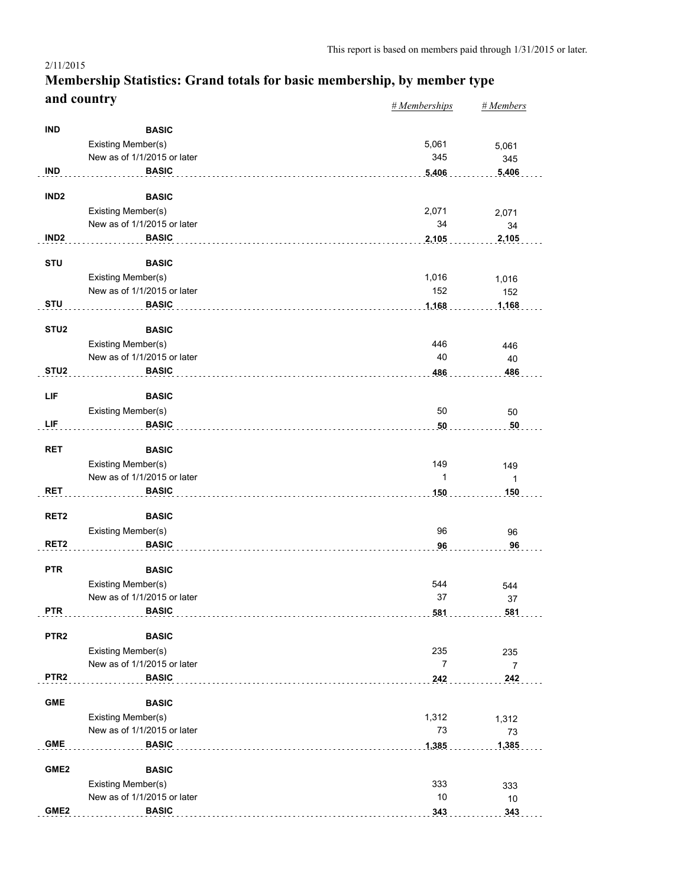#### *# Memberships # Members* **Membership Statistics: Grand totals for basic membership, by member type and country** 2/11/2015

|                  |                                    | $n$ <i>m</i> cmocromps | $n$ <i>inchibers</i> |
|------------------|------------------------------------|------------------------|----------------------|
| <b>IND</b>       | <b>BASIC</b>                       |                        |                      |
|                  | Existing Member(s)                 | 5,061                  | 5,061                |
|                  | New as of 1/1/2015 or later        | 345                    | 345                  |
| <b>IND</b>       | <b>BASIC</b>                       | 5,406                  | 5,406                |
|                  |                                    |                        |                      |
| IND <sub>2</sub> | <b>BASIC</b>                       |                        |                      |
|                  | Existing Member(s)                 | 2,071                  | 2,071                |
|                  | New as of 1/1/2015 or later        | 34                     | 34                   |
| IND <sub>2</sub> | <b>BASIC</b>                       | 2,105                  | 2,105                |
| <b>STU</b>       | <b>BASIC</b>                       |                        |                      |
|                  | Existing Member(s)                 | 1,016                  | 1,016                |
|                  | New as of 1/1/2015 or later        | 152                    | 152                  |
| <b>STU</b>       | <b>BASIC</b>                       | 1,168                  | 1,168                |
| STU <sub>2</sub> | <b>BASIC</b>                       |                        |                      |
|                  | Existing Member(s)                 | 446                    | 446                  |
|                  | New as of 1/1/2015 or later        | 40                     | 40                   |
| STU <sub>2</sub> | <b>BASIC</b>                       | 486                    | 486                  |
|                  |                                    |                        |                      |
| LIF              | <b>BASIC</b><br>Existing Member(s) | 50                     |                      |
| LIF              | <b>BASIC</b>                       | 50                     | 50<br>50             |
|                  |                                    |                        |                      |
| <b>RET</b>       | <b>BASIC</b>                       |                        |                      |
|                  | Existing Member(s)                 | 149                    | 149                  |
|                  | New as of 1/1/2015 or later        | $\mathbf{1}$           | $\mathbf{1}$         |
| <b>RET</b>       | <b>BASIC</b>                       | 150                    | 150                  |
| RET <sub>2</sub> | <b>BASIC</b>                       |                        |                      |
|                  | Existing Member(s)                 | 96                     | 96                   |
| RET <sub>2</sub> | <b>BASIC</b>                       | 96                     | 96                   |
| <b>PTR</b>       | <b>BASIC</b>                       |                        |                      |
|                  | Existing Member(s)                 | 544                    |                      |
|                  | New as of 1/1/2015 or later        | 37                     | 544<br>37            |
| <b>PTR</b>       | <b>BASIC</b>                       |                        | 581                  |
|                  |                                    | 581                    |                      |
| PTR <sub>2</sub> | <b>BASIC</b>                       |                        |                      |
|                  | Existing Member(s)                 | 235                    | 235                  |
|                  | New as of 1/1/2015 or later        | $\overline{7}$         | $\overline{7}$       |
| PTR <sub>2</sub> | <b>BASIC</b>                       | 242                    | 242                  |
| <b>GME</b>       | <b>BASIC</b>                       |                        |                      |
|                  | Existing Member(s)                 | 1,312                  | 1,312                |
|                  | New as of 1/1/2015 or later        | 73                     | 73                   |
| <b>GME</b>       | <b>BASIC</b>                       | 1,385                  | 1,385                |
|                  |                                    |                        |                      |
| GME <sub>2</sub> | <b>BASIC</b>                       |                        |                      |
|                  | Existing Member(s)                 | 333                    | 333                  |
|                  | New as of 1/1/2015 or later        | $10$                   | 10                   |
| GME <sub>2</sub> | <b>BASIC</b>                       | 343                    | 343                  |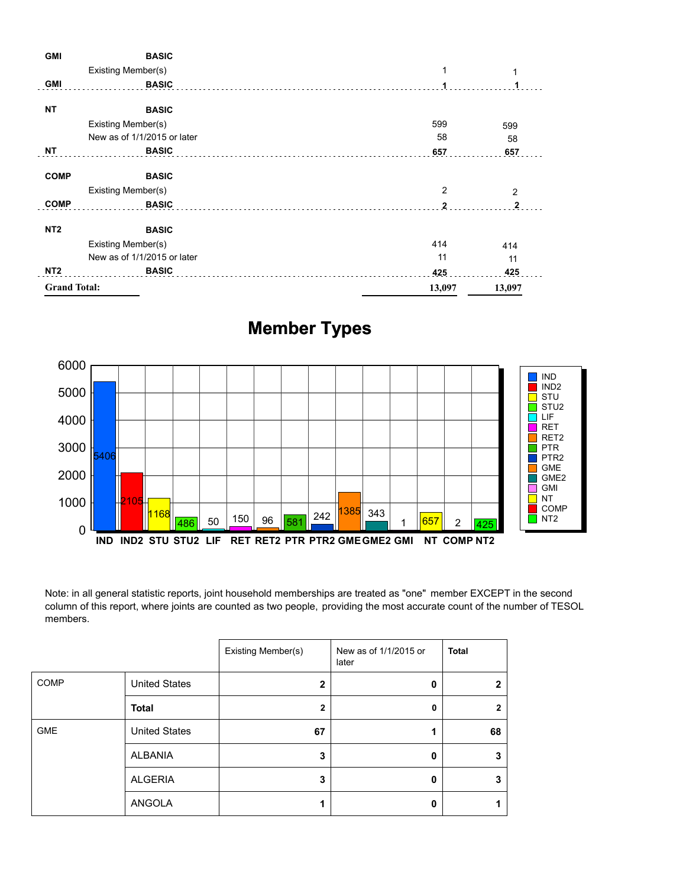| <b>GMI</b>          | <b>BASIC</b>                |              |                |
|---------------------|-----------------------------|--------------|----------------|
|                     | Existing Member(s)          | 1            |                |
| <b>GMI</b>          | <b>BASIC</b>                |              |                |
| <b>NT</b>           | <b>BASIC</b>                |              |                |
|                     | Existing Member(s)          | 599          | 599            |
|                     | New as of 1/1/2015 or later | 58           | 58             |
| ΝT                  | <b>BASIC</b>                | 657          | 657            |
| <b>COMP</b>         | <b>BASIC</b>                |              |                |
|                     | Existing Member(s)          | 2            | $\overline{2}$ |
| <b>COMP</b>         | <b>BASIC</b>                | $\mathbf{2}$ | $\mathbf{2}$   |
| NT <sub>2</sub>     | <b>BASIC</b>                |              |                |
|                     | Existing Member(s)          | 414          | 414            |
|                     | New as of 1/1/2015 or later | 11           | 11             |
| NT <sub>2</sub>     | <b>BASIC</b>                | 425          | 425            |
| <b>Grand Total:</b> |                             | 13,097       | 13,097         |

# **Member Types**



Note: in all general statistic reports, joint household memberships are treated as "one" member EXCEPT in the second column of this report, where joints are counted as two people, providing the most accurate count of the number of TESOL members.

|             |                      | Existing Member(s) | New as of 1/1/2015 or<br>later | <b>Total</b> |
|-------------|----------------------|--------------------|--------------------------------|--------------|
| <b>COMP</b> | <b>United States</b> | 2                  | 0                              | כי           |
|             | <b>Total</b>         | 2                  | 0                              | 2            |
| <b>GME</b>  | <b>United States</b> | 67                 |                                | 68           |
|             | ALBANIA              | 3                  | 0                              | 3            |
|             | <b>ALGERIA</b>       | 3                  | 0                              | 3            |
|             | ANGOLA               |                    | Ω                              |              |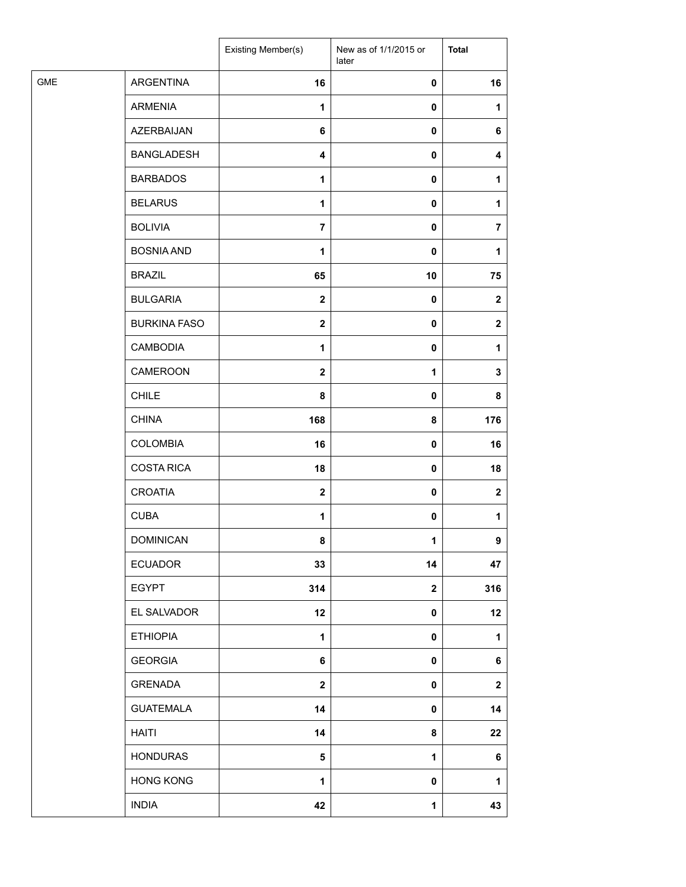|            |                     | Existing Member(s)      | New as of 1/1/2015 or<br>later | <b>Total</b>   |
|------------|---------------------|-------------------------|--------------------------------|----------------|
| <b>GME</b> | ARGENTINA           | 16                      | 0                              | 16             |
|            | <b>ARMENIA</b>      | $\mathbf{1}$            | 0                              | 1              |
|            | AZERBAIJAN          | 6                       | 0                              | 6              |
|            | <b>BANGLADESH</b>   | 4                       | 0                              | 4              |
|            | <b>BARBADOS</b>     | 1                       | 0                              | 1              |
|            | <b>BELARUS</b>      | 1                       | 0                              | 1              |
|            | <b>BOLIVIA</b>      | $\overline{7}$          | 0                              | $\overline{7}$ |
|            | <b>BOSNIA AND</b>   | 1                       | 0                              | 1              |
|            | <b>BRAZIL</b>       | 65                      | 10                             | 75             |
|            | <b>BULGARIA</b>     | $\overline{\mathbf{2}}$ | 0                              | $\mathbf{2}$   |
|            | <b>BURKINA FASO</b> | $\mathbf{2}$            | 0                              | $\mathbf{2}$   |
|            | <b>CAMBODIA</b>     | $\mathbf{1}$            | 0                              | $\mathbf{1}$   |
|            | CAMEROON            | $\overline{\mathbf{2}}$ | $\mathbf 1$                    | 3              |
|            | <b>CHILE</b>        | 8                       | $\pmb{0}$                      | 8              |
|            | <b>CHINA</b>        | 168                     | 8                              | 176            |
|            | <b>COLOMBIA</b>     | 16                      | 0                              | 16             |
|            | <b>COSTA RICA</b>   | 18                      | 0                              | 18             |
|            | <b>CROATIA</b>      | $\mathbf{2}$            | 0                              | $\mathbf 2$    |
|            | <b>CUBA</b>         | $\mathbf{1}$            | 0                              | 1              |
|            | <b>DOMINICAN</b>    | 8                       | 1                              | 9              |
|            | <b>ECUADOR</b>      | 33                      | 14                             | 47             |
|            | <b>EGYPT</b>        | 314                     | $\mathbf 2$                    | 316            |
|            | EL SALVADOR         | 12                      | 0                              | 12             |
|            | <b>ETHIOPIA</b>     | $\mathbf 1$             | 0                              | 1              |
|            | <b>GEORGIA</b>      | 6                       | 0                              | 6              |
|            | GRENADA             | $\mathbf{2}$            | 0                              | $\mathbf 2$    |
|            | <b>GUATEMALA</b>    | 14                      | 0                              | 14             |
|            | <b>HAITI</b>        | 14                      | 8                              | 22             |
|            | <b>HONDURAS</b>     | $\sqrt{5}$              | 1                              | 6              |
|            | <b>HONG KONG</b>    | 1                       | 0                              | 1              |
|            | <b>INDIA</b>        | 42                      | $\mathbf 1$                    | 43             |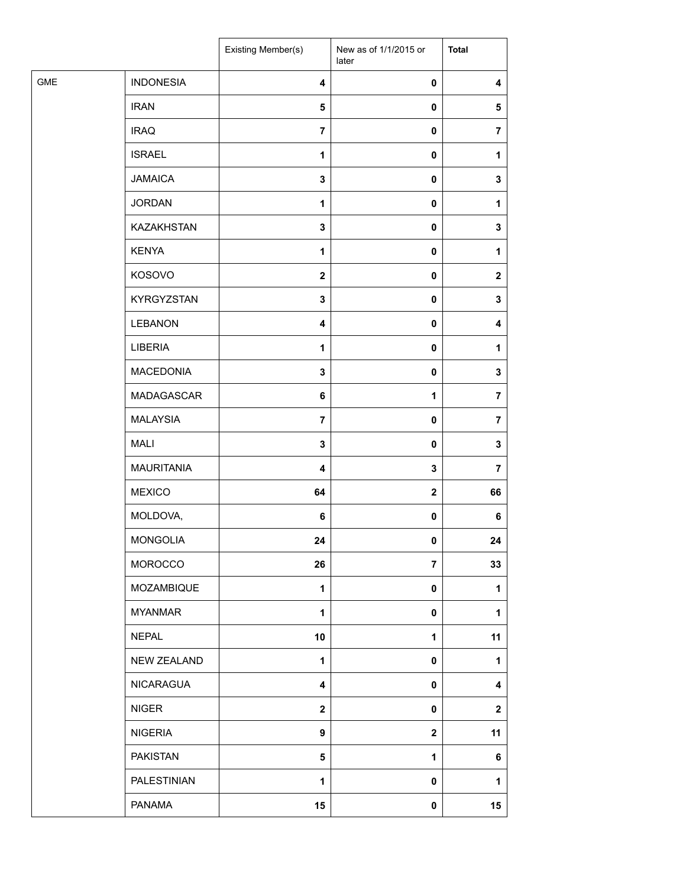|            |                    | Existing Member(s)      | New as of 1/1/2015 or<br>later | <b>Total</b>   |
|------------|--------------------|-------------------------|--------------------------------|----------------|
| <b>GME</b> | <b>INDONESIA</b>   | $\overline{\mathbf{4}}$ | 0                              | 4              |
|            | <b>IRAN</b>        | 5                       | 0                              | 5              |
|            | <b>IRAQ</b>        | $\overline{\mathbf{r}}$ | 0                              | $\overline{7}$ |
|            | <b>ISRAEL</b>      | $\mathbf{1}$            | 0                              | 1              |
|            | <b>JAMAICA</b>     | $\mathbf 3$             | 0                              | 3              |
|            | <b>JORDAN</b>      | 1                       | 0                              | 1              |
|            | KAZAKHSTAN         | $\mathbf 3$             | 0                              | 3              |
|            | <b>KENYA</b>       | 1                       | 0                              | 1              |
|            | KOSOVO             | $\boldsymbol{2}$        | 0                              | $\mathbf{2}$   |
|            | KYRGYZSTAN         | $\mathbf 3$             | 0                              | 3              |
|            | <b>LEBANON</b>     | $\overline{\mathbf{4}}$ | 0                              | 4              |
|            | LIBERIA            | 1                       | 0                              | 1              |
|            | <b>MACEDONIA</b>   | $\mathbf 3$             | $\pmb{0}$                      | 3              |
|            | MADAGASCAR         | 6                       | 1                              | 7              |
|            | <b>MALAYSIA</b>    | $\overline{\mathbf{r}}$ | 0                              | $\overline{7}$ |
|            | <b>MALI</b>        | $\mathbf 3$             | 0                              | 3              |
|            | <b>MAURITANIA</b>  | $\overline{\mathbf{4}}$ | 3                              | $\overline{7}$ |
|            | <b>MEXICO</b>      | 64                      | $\bf 2$                        | 66             |
|            | MOLDOVA,           | 6                       | 0                              | 6              |
|            | MONGOLIA           | 24                      | 0                              | 24             |
|            | MOROCCO            | 26                      | $\overline{7}$                 | 33             |
|            | MOZAMBIQUE         | $\mathbf{1}$            | 0                              | 1              |
|            | <b>MYANMAR</b>     | 1                       | 0                              | 1              |
|            | <b>NEPAL</b>       | 10                      | 1                              | 11             |
|            | NEW ZEALAND        | $\mathbf{1}$            | 0                              | 1              |
|            | NICARAGUA          | 4                       | 0                              | 4              |
|            | <b>NIGER</b>       | $\mathbf{2}$            | 0                              | $\mathbf 2$    |
|            | <b>NIGERIA</b>     | $\boldsymbol{9}$        | $\mathbf 2$                    | 11             |
|            | <b>PAKISTAN</b>    | 5                       | 1                              | 6              |
|            | <b>PALESTINIAN</b> | 1                       | 0                              | 1              |
|            | <b>PANAMA</b>      | 15                      | 0                              | 15             |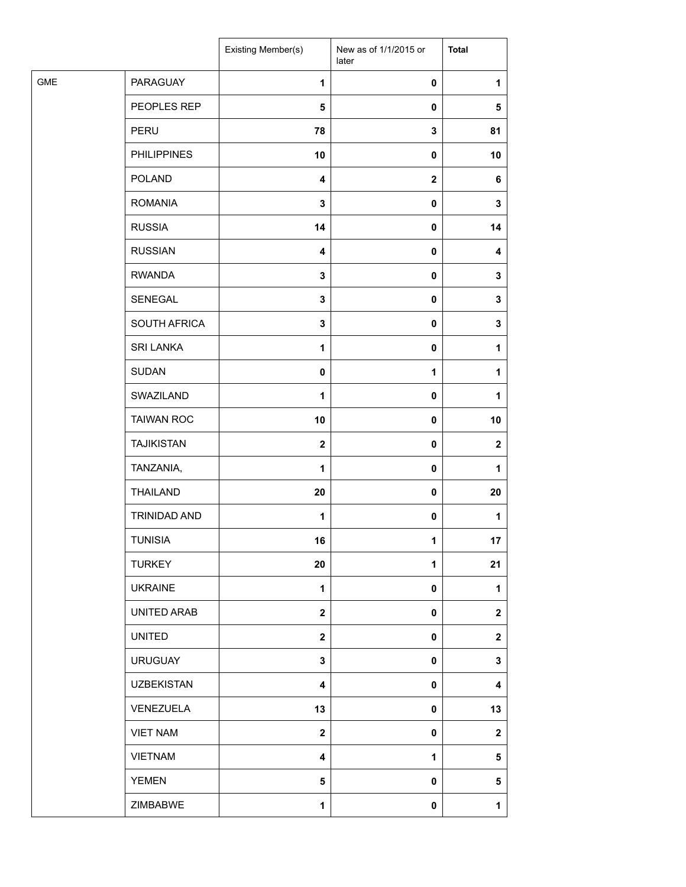|            |                    | Existing Member(s)      | New as of 1/1/2015 or<br>later | <b>Total</b>            |
|------------|--------------------|-------------------------|--------------------------------|-------------------------|
| <b>GME</b> | PARAGUAY           | $\mathbf{1}$            | 0                              | 1                       |
|            | PEOPLES REP        | 5                       | 0                              | 5                       |
|            | PERU               | 78                      | 3                              | 81                      |
|            | <b>PHILIPPINES</b> | 10                      | 0                              | 10                      |
|            | POLAND             | 4                       | $\mathbf 2$                    | 6                       |
|            | <b>ROMANIA</b>     | 3                       | 0                              | 3                       |
|            | <b>RUSSIA</b>      | 14                      | 0                              | 14                      |
|            | <b>RUSSIAN</b>     | $\overline{\mathbf{4}}$ | $\pmb{0}$                      | $\overline{\mathbf{4}}$ |
|            | <b>RWANDA</b>      | $\mathbf 3$             | 0                              | 3                       |
|            | SENEGAL            | $\mathbf 3$             | 0                              | 3                       |
|            | SOUTH AFRICA       | 3                       | 0                              | 3                       |
|            | <b>SRI LANKA</b>   | 1                       | 0                              | 1                       |
|            | <b>SUDAN</b>       | 0                       | $\mathbf 1$                    | 1                       |
|            | SWAZILAND          | 1                       | $\pmb{0}$                      | 1                       |
|            | <b>TAIWAN ROC</b>  | 10                      | 0                              | 10                      |
|            | <b>TAJIKISTAN</b>  | $\mathbf{2}$            | 0                              | $\mathbf{2}$            |
|            | TANZANIA,          | $\mathbf{1}$            | 0                              | 1                       |
|            | THAILAND           | 20                      | 0                              | 20                      |
|            | TRINIDAD AND       | $\mathbf{1}$            | 0                              | 1                       |
|            | <b>TUNISIA</b>     | 16                      | 1                              | 17                      |
|            | <b>TURKEY</b>      | 20                      | 1                              | 21                      |
|            | <b>UKRAINE</b>     | $\mathbf{1}$            | 0                              | 1                       |
|            | UNITED ARAB        | $\mathbf{2}$            | 0                              | $\mathbf{2}$            |
|            | <b>UNITED</b>      | $\mathbf{2}$            | 0                              | $\mathbf 2$             |
|            | <b>URUGUAY</b>     | $\mathbf 3$             | 0                              | 3                       |
|            | <b>UZBEKISTAN</b>  | 4                       | 0                              | 4                       |
|            | VENEZUELA          | 13                      | 0                              | 13                      |
|            | <b>VIET NAM</b>    | $\mathbf{2}$            | 0                              | $\mathbf{2}$            |
|            | <b>VIETNAM</b>     | 4                       | 1                              | 5                       |
|            | <b>YEMEN</b>       | 5                       | 0                              | 5                       |
|            | ZIMBABWE           | $\mathbf{1}$            | 0                              | $\mathbf{1}$            |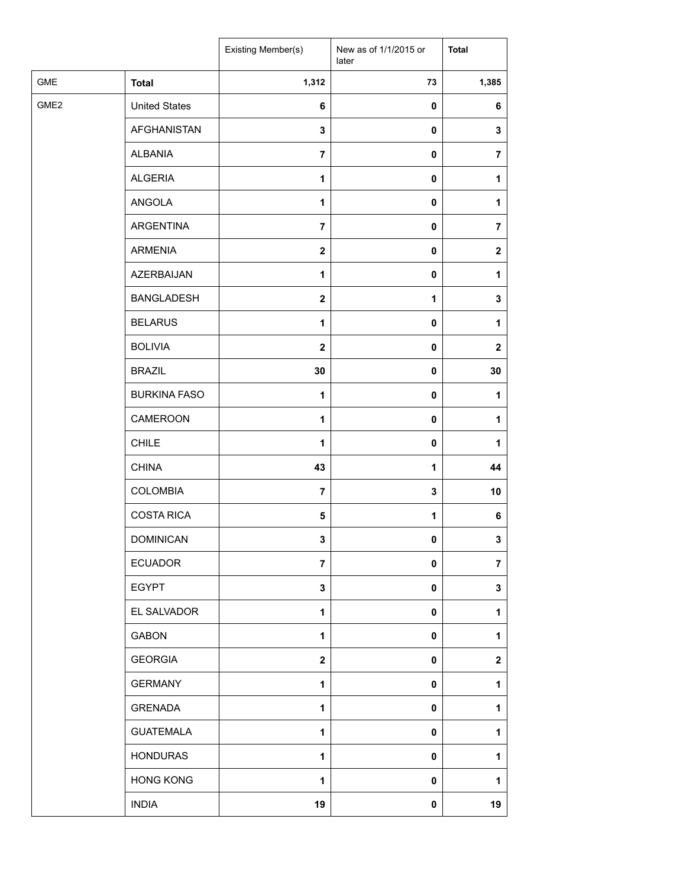|                  |                      | Existing Member(s) | New as of 1/1/2015 or<br>later | <b>Total</b>     |
|------------------|----------------------|--------------------|--------------------------------|------------------|
| <b>GME</b>       | <b>Total</b>         | 1,312              | 73                             | 1,385            |
| GME <sub>2</sub> | <b>United States</b> | $\bf 6$            | $\pmb{0}$                      | 6                |
|                  | AFGHANISTAN          | 3                  | 0                              | 3                |
|                  | <b>ALBANIA</b>       | $\overline{7}$     | 0                              | 7                |
|                  | <b>ALGERIA</b>       | 1                  | 0                              | 1                |
|                  | ANGOLA               | 1                  | 0                              | 1                |
|                  | ARGENTINA            | $\overline{7}$     | 0                              | 7                |
|                  | <b>ARMENIA</b>       | $\mathbf 2$        | 0                              | $\boldsymbol{2}$ |
|                  | <b>AZERBAIJAN</b>    | 1                  | 0                              | 1                |
|                  | <b>BANGLADESH</b>    | $\mathbf 2$        | 1                              | 3                |
|                  | <b>BELARUS</b>       | 1                  | 0                              | 1                |
|                  | <b>BOLIVIA</b>       | $\mathbf{2}$       | 0                              | $\boldsymbol{2}$ |
|                  | <b>BRAZIL</b>        | 30                 | 0                              | 30               |
|                  | <b>BURKINA FASO</b>  | $\mathbf{1}$       | 0                              | 1                |
|                  | CAMEROON             | 1                  | 0                              | 1                |
|                  | CHILE                | 1                  | 0                              | 1                |
|                  | <b>CHINA</b>         | 43                 | 1                              | 44               |
|                  | <b>COLOMBIA</b>      | $\overline{7}$     | 3                              | 10               |
|                  | <b>COSTA RICA</b>    | 5                  | 1                              | 6                |
|                  | <b>DOMINICAN</b>     | 3                  | 0                              | 3                |
|                  | <b>ECUADOR</b>       | $\overline{7}$     | 0                              | $\overline{7}$   |
|                  | <b>EGYPT</b>         | 3                  | 0                              | 3                |
|                  | EL SALVADOR          | 1                  | 0                              | 1                |
|                  | <b>GABON</b>         | 1                  | 0                              | 1                |
|                  | <b>GEORGIA</b>       | $\mathbf 2$        | 0                              | $\mathbf 2$      |
|                  | <b>GERMANY</b>       | $\mathbf{1}$       | 0                              | 1                |
|                  | <b>GRENADA</b>       | 1                  | 0                              | 1                |
|                  | <b>GUATEMALA</b>     | 1                  | 0                              | 1                |
|                  | <b>HONDURAS</b>      | 1                  | 0                              | 1                |
|                  | <b>HONG KONG</b>     | 1                  | 0                              | 1                |
|                  | <b>INDIA</b>         | 19                 | 0                              | 19               |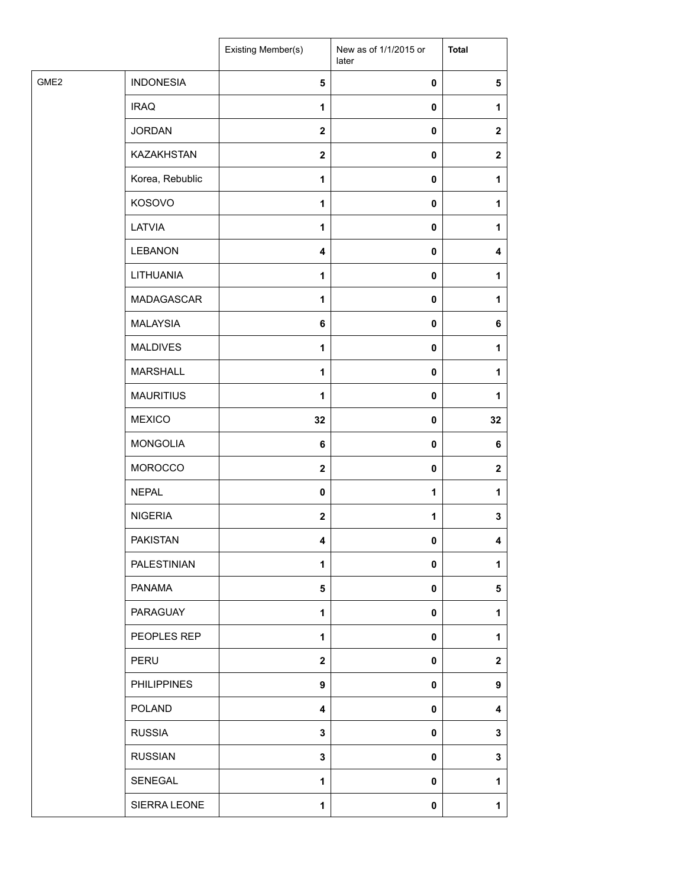|                  |                    | Existing Member(s)      | New as of 1/1/2015 or<br>later | <b>Total</b> |
|------------------|--------------------|-------------------------|--------------------------------|--------------|
| GME <sub>2</sub> | <b>INDONESIA</b>   | 5                       | $\pmb{0}$                      | 5            |
|                  | <b>IRAQ</b>        | $\mathbf{1}$            | $\pmb{0}$                      | 1            |
|                  | <b>JORDAN</b>      | $\mathbf{2}$            | $\pmb{0}$                      | $\mathbf{2}$ |
|                  | KAZAKHSTAN         | $\mathbf{2}$            | $\pmb{0}$                      | $\mathbf{2}$ |
|                  | Korea, Rebublic    | $\mathbf{1}$            | $\pmb{0}$                      | 1            |
|                  | KOSOVO             | 1                       | $\pmb{0}$                      | 1            |
|                  | LATVIA             | $\mathbf{1}$            | $\pmb{0}$                      | 1            |
|                  | <b>LEBANON</b>     | 4                       | $\pmb{0}$                      | 4            |
|                  | LITHUANIA          | $\mathbf{1}$            | $\pmb{0}$                      | 1            |
|                  | MADAGASCAR         | 1                       | $\pmb{0}$                      | 1            |
|                  | <b>MALAYSIA</b>    | 6                       | $\pmb{0}$                      | 6            |
|                  | <b>MALDIVES</b>    | $\mathbf{1}$            | $\pmb{0}$                      | 1            |
|                  | <b>MARSHALL</b>    | 1                       | $\pmb{0}$                      | 1            |
|                  | <b>MAURITIUS</b>   | $\mathbf{1}$            | $\pmb{0}$                      | 1            |
|                  | <b>MEXICO</b>      | 32                      | $\pmb{0}$                      | 32           |
|                  | <b>MONGOLIA</b>    | $\bf 6$                 | $\pmb{0}$                      | 6            |
|                  | <b>MOROCCO</b>     | $\mathbf{2}$            | $\pmb{0}$                      | $\mathbf{2}$ |
|                  | <b>NEPAL</b>       | $\pmb{0}$               | 1                              | 1            |
|                  | <b>NIGERIA</b>     | $\mathbf{2}$            | 1                              | 3            |
|                  | <b>PAKISTAN</b>    | 4                       | 0                              | 4            |
|                  | PALESTINIAN        | 1                       | $\pmb{0}$                      | 1            |
|                  | <b>PANAMA</b>      | 5                       | $\pmb{0}$                      | 5            |
|                  | PARAGUAY           | $\mathbf{1}$            | $\pmb{0}$                      | 1            |
|                  | PEOPLES REP        | $\mathbf{1}$            | $\pmb{0}$                      | 1            |
|                  | PERU               | $\boldsymbol{2}$        | $\pmb{0}$                      | $\mathbf{2}$ |
|                  | <b>PHILIPPINES</b> | $\boldsymbol{9}$        | $\pmb{0}$                      | 9            |
|                  | <b>POLAND</b>      | $\overline{\mathbf{4}}$ | $\mathbf 0$                    | 4            |
|                  | <b>RUSSIA</b>      | $\mathbf 3$             | $\pmb{0}$                      | 3            |
|                  | <b>RUSSIAN</b>     | $\mathbf 3$             | $\mathbf 0$                    | 3            |
|                  | SENEGAL            | 1                       | $\pmb{0}$                      | 1            |
|                  | SIERRA LEONE       | 1                       | 0                              | 1            |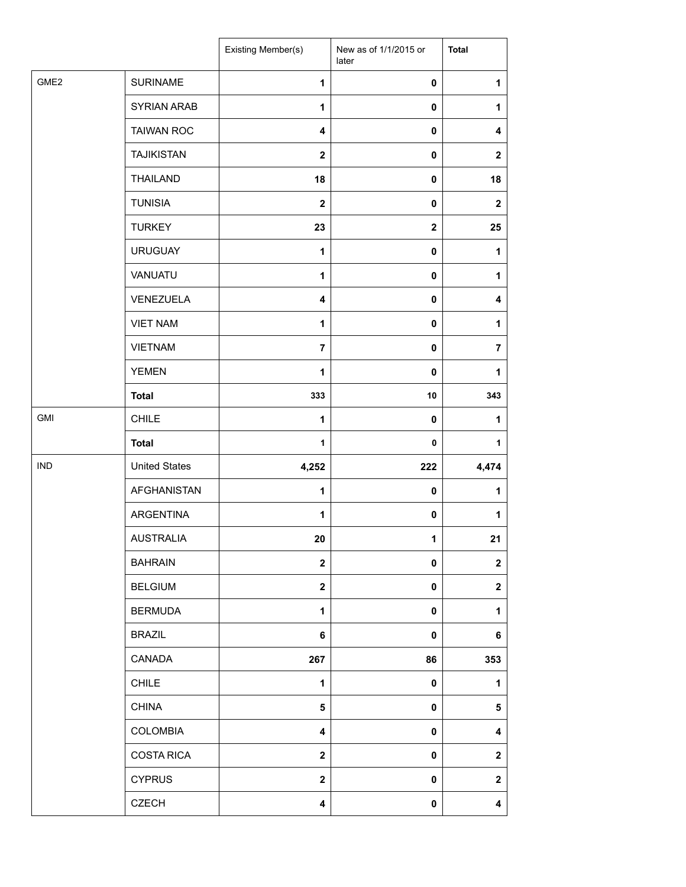|                  |                      | Existing Member(s)      | New as of 1/1/2015 or<br>later | <b>Total</b>            |
|------------------|----------------------|-------------------------|--------------------------------|-------------------------|
| GME <sub>2</sub> | <b>SURINAME</b>      | 1                       | $\pmb{0}$                      | 1                       |
|                  | <b>SYRIAN ARAB</b>   | 1                       | $\mathbf 0$                    | 1                       |
|                  | <b>TAIWAN ROC</b>    | $\overline{\mathbf{4}}$ | $\pmb{0}$                      | $\overline{\mathbf{4}}$ |
|                  | <b>TAJIKISTAN</b>    | $\boldsymbol{2}$        | 0                              | $\mathbf{2}$            |
|                  | <b>THAILAND</b>      | 18                      | $\pmb{0}$                      | 18                      |
|                  | <b>TUNISIA</b>       | $\mathbf 2$             | $\pmb{0}$                      | $\mathbf{2}$            |
|                  | <b>TURKEY</b>        | 23                      | $\mathbf{2}$                   | 25                      |
|                  | <b>URUGUAY</b>       | 1                       | $\pmb{0}$                      | 1                       |
|                  | VANUATU              | 1                       | $\pmb{0}$                      | 1                       |
|                  | VENEZUELA            | 4                       | 0                              | 4                       |
|                  | <b>VIET NAM</b>      | 1                       | $\pmb{0}$                      | 1                       |
|                  | <b>VIETNAM</b>       | $\overline{7}$          | $\pmb{0}$                      | $\overline{7}$          |
|                  | <b>YEMEN</b>         | 1                       | $\mathbf 0$                    | 1                       |
|                  | <b>Total</b>         | 333                     | 10                             | 343                     |
| GMI              | <b>CHILE</b>         | 1                       | $\mathbf 0$                    | 1                       |
|                  | <b>Total</b>         | $\mathbf 1$             | 0                              | 1                       |
| <b>IND</b>       | <b>United States</b> | 4,252                   | 222                            | 4,474                   |
|                  | <b>AFGHANISTAN</b>   | $\mathbf{1}$            | $\pmb{0}$                      | 1                       |
|                  | <b>ARGENTINA</b>     | 1                       | 0                              | 1                       |
|                  | <b>AUSTRALIA</b>     | 20                      | 1                              | 21                      |
|                  | <b>BAHRAIN</b>       | $\mathbf{2}$            | 0                              | $\mathbf 2$             |
|                  | <b>BELGIUM</b>       | $\mathbf{2}$            | $\mathbf 0$                    | $\boldsymbol{2}$        |
|                  | <b>BERMUDA</b>       | 1                       | $\mathbf 0$                    | 1                       |
|                  | <b>BRAZIL</b>        | 6                       | $\pmb{0}$                      | 6                       |
|                  | <b>CANADA</b>        | 267                     | 86                             | 353                     |
|                  | <b>CHILE</b>         | 1                       | $\pmb{0}$                      | 1                       |
|                  | <b>CHINA</b>         | $\sqrt{5}$              | $\pmb{0}$                      | 5                       |
|                  | <b>COLOMBIA</b>      | $\overline{\mathbf{4}}$ | $\mathbf 0$                    | 4                       |
|                  | <b>COSTA RICA</b>    | $\boldsymbol{2}$        | $\mathbf 0$                    | $\mathbf 2$             |
|                  | <b>CYPRUS</b>        | $\boldsymbol{2}$        | $\pmb{0}$                      | $\mathbf 2$             |
|                  | <b>CZECH</b>         | 4                       | 0                              | 4                       |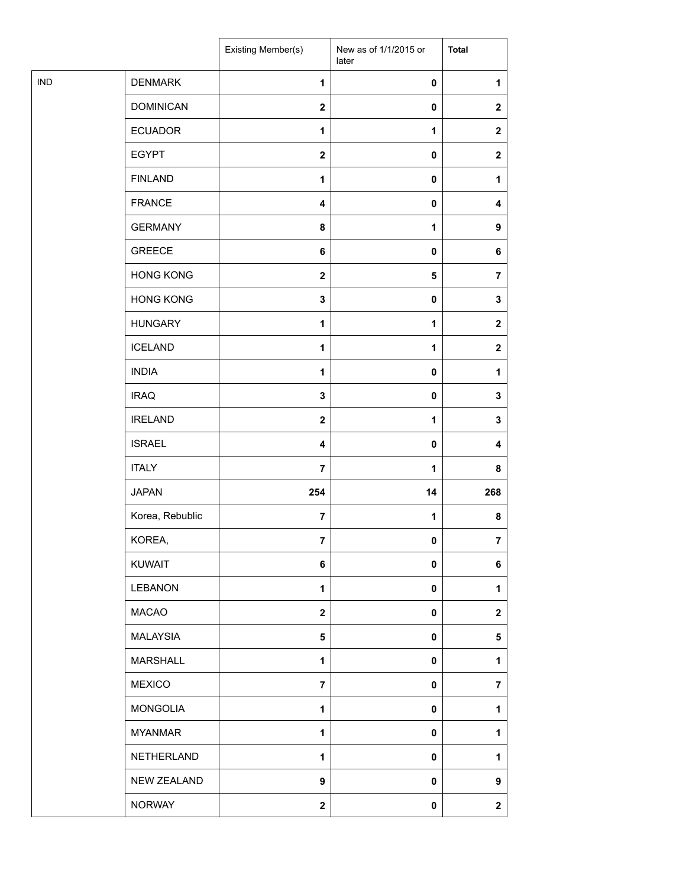| <b>IND</b><br><b>DENMARK</b><br>1<br>$\pmb{0}$<br>1<br><b>DOMINICAN</b><br>$\mathbf{2}$<br>$\pmb{0}$<br>$\mathbf{2}$<br><b>ECUADOR</b><br>$\mathbf{1}$<br>1<br>$\mathbf{2}$<br><b>EGYPT</b><br>$\mathbf{2}$<br>$\pmb{0}$<br>$\mathbf{2}$<br><b>FINLAND</b><br>$\mathbf{1}$<br>$\pmb{0}$<br>1<br><b>FRANCE</b><br>4<br>$\pmb{0}$<br>4<br><b>GERMANY</b><br>8<br>1<br>9<br><b>GREECE</b><br>$\bf 6$<br>$\pmb{0}$<br>6<br><b>HONG KONG</b><br>${\bf 5}$<br>$\mathbf{2}$<br>$\overline{\mathbf{r}}$<br><b>HONG KONG</b><br>$\mathbf 3$<br>$\pmb{0}$<br>$\mathbf 3$<br><b>HUNGARY</b><br>$\mathbf{1}$<br>1<br>$\mathbf{2}$<br><b>ICELAND</b><br>$\mathbf{1}$<br>1<br>$\mathbf{2}$<br><b>INDIA</b><br>1<br>$\pmb{0}$<br>1<br><b>IRAQ</b><br>$\mathbf 3$<br>$\pmb{0}$<br>3<br><b>IRELAND</b><br>$\mathbf 2$<br>1<br>3<br><b>ISRAEL</b><br>$\overline{\mathbf{4}}$<br>$\pmb{0}$<br>4<br><b>ITALY</b><br>$\overline{7}$<br>1<br>8<br><b>JAPAN</b><br>254<br>14<br>268<br>Korea, Rebublic<br>$\overline{7}$<br>1<br>8<br>KOREA,<br>$\overline{7}$<br>0<br>$\overline{7}$<br><b>KUWAIT</b><br>6<br>$\pmb{0}$<br>6<br><b>LEBANON</b><br>1<br>$\pmb{0}$<br>1<br><b>MACAO</b><br>$\mathbf{2}$<br>$\pmb{0}$<br>$\mathbf{2}$<br><b>MALAYSIA</b><br>${\bf 5}$<br>$\pmb{0}$<br>5<br><b>MARSHALL</b><br>1<br>$\pmb{0}$<br>1<br><b>MEXICO</b><br>$\overline{7}$<br>$\pmb{0}$<br>$\overline{7}$<br><b>MONGOLIA</b><br>1<br>$\pmb{0}$<br>1<br><b>MYANMAR</b><br>1<br>$\pmb{0}$<br>1<br>NETHERLAND<br>$\mathbf{1}$<br>$\pmb{0}$<br>1<br><b>NEW ZEALAND</b><br>9<br>$\pmb{0}$<br>9<br><b>NORWAY</b><br>$\boldsymbol{2}$<br>$\boldsymbol{2}$<br>0 |  | <b>Existing Member(s)</b> | New as of 1/1/2015 or<br>later | <b>Total</b> |
|--------------------------------------------------------------------------------------------------------------------------------------------------------------------------------------------------------------------------------------------------------------------------------------------------------------------------------------------------------------------------------------------------------------------------------------------------------------------------------------------------------------------------------------------------------------------------------------------------------------------------------------------------------------------------------------------------------------------------------------------------------------------------------------------------------------------------------------------------------------------------------------------------------------------------------------------------------------------------------------------------------------------------------------------------------------------------------------------------------------------------------------------------------------------------------------------------------------------------------------------------------------------------------------------------------------------------------------------------------------------------------------------------------------------------------------------------------------------------------------------------------------------------------------------------------------------------------------------------------------------------|--|---------------------------|--------------------------------|--------------|
|                                                                                                                                                                                                                                                                                                                                                                                                                                                                                                                                                                                                                                                                                                                                                                                                                                                                                                                                                                                                                                                                                                                                                                                                                                                                                                                                                                                                                                                                                                                                                                                                                          |  |                           |                                |              |
|                                                                                                                                                                                                                                                                                                                                                                                                                                                                                                                                                                                                                                                                                                                                                                                                                                                                                                                                                                                                                                                                                                                                                                                                                                                                                                                                                                                                                                                                                                                                                                                                                          |  |                           |                                |              |
|                                                                                                                                                                                                                                                                                                                                                                                                                                                                                                                                                                                                                                                                                                                                                                                                                                                                                                                                                                                                                                                                                                                                                                                                                                                                                                                                                                                                                                                                                                                                                                                                                          |  |                           |                                |              |
|                                                                                                                                                                                                                                                                                                                                                                                                                                                                                                                                                                                                                                                                                                                                                                                                                                                                                                                                                                                                                                                                                                                                                                                                                                                                                                                                                                                                                                                                                                                                                                                                                          |  |                           |                                |              |
|                                                                                                                                                                                                                                                                                                                                                                                                                                                                                                                                                                                                                                                                                                                                                                                                                                                                                                                                                                                                                                                                                                                                                                                                                                                                                                                                                                                                                                                                                                                                                                                                                          |  |                           |                                |              |
|                                                                                                                                                                                                                                                                                                                                                                                                                                                                                                                                                                                                                                                                                                                                                                                                                                                                                                                                                                                                                                                                                                                                                                                                                                                                                                                                                                                                                                                                                                                                                                                                                          |  |                           |                                |              |
|                                                                                                                                                                                                                                                                                                                                                                                                                                                                                                                                                                                                                                                                                                                                                                                                                                                                                                                                                                                                                                                                                                                                                                                                                                                                                                                                                                                                                                                                                                                                                                                                                          |  |                           |                                |              |
|                                                                                                                                                                                                                                                                                                                                                                                                                                                                                                                                                                                                                                                                                                                                                                                                                                                                                                                                                                                                                                                                                                                                                                                                                                                                                                                                                                                                                                                                                                                                                                                                                          |  |                           |                                |              |
|                                                                                                                                                                                                                                                                                                                                                                                                                                                                                                                                                                                                                                                                                                                                                                                                                                                                                                                                                                                                                                                                                                                                                                                                                                                                                                                                                                                                                                                                                                                                                                                                                          |  |                           |                                |              |
|                                                                                                                                                                                                                                                                                                                                                                                                                                                                                                                                                                                                                                                                                                                                                                                                                                                                                                                                                                                                                                                                                                                                                                                                                                                                                                                                                                                                                                                                                                                                                                                                                          |  |                           |                                |              |
|                                                                                                                                                                                                                                                                                                                                                                                                                                                                                                                                                                                                                                                                                                                                                                                                                                                                                                                                                                                                                                                                                                                                                                                                                                                                                                                                                                                                                                                                                                                                                                                                                          |  |                           |                                |              |
|                                                                                                                                                                                                                                                                                                                                                                                                                                                                                                                                                                                                                                                                                                                                                                                                                                                                                                                                                                                                                                                                                                                                                                                                                                                                                                                                                                                                                                                                                                                                                                                                                          |  |                           |                                |              |
|                                                                                                                                                                                                                                                                                                                                                                                                                                                                                                                                                                                                                                                                                                                                                                                                                                                                                                                                                                                                                                                                                                                                                                                                                                                                                                                                                                                                                                                                                                                                                                                                                          |  |                           |                                |              |
|                                                                                                                                                                                                                                                                                                                                                                                                                                                                                                                                                                                                                                                                                                                                                                                                                                                                                                                                                                                                                                                                                                                                                                                                                                                                                                                                                                                                                                                                                                                                                                                                                          |  |                           |                                |              |
|                                                                                                                                                                                                                                                                                                                                                                                                                                                                                                                                                                                                                                                                                                                                                                                                                                                                                                                                                                                                                                                                                                                                                                                                                                                                                                                                                                                                                                                                                                                                                                                                                          |  |                           |                                |              |
|                                                                                                                                                                                                                                                                                                                                                                                                                                                                                                                                                                                                                                                                                                                                                                                                                                                                                                                                                                                                                                                                                                                                                                                                                                                                                                                                                                                                                                                                                                                                                                                                                          |  |                           |                                |              |
|                                                                                                                                                                                                                                                                                                                                                                                                                                                                                                                                                                                                                                                                                                                                                                                                                                                                                                                                                                                                                                                                                                                                                                                                                                                                                                                                                                                                                                                                                                                                                                                                                          |  |                           |                                |              |
|                                                                                                                                                                                                                                                                                                                                                                                                                                                                                                                                                                                                                                                                                                                                                                                                                                                                                                                                                                                                                                                                                                                                                                                                                                                                                                                                                                                                                                                                                                                                                                                                                          |  |                           |                                |              |
|                                                                                                                                                                                                                                                                                                                                                                                                                                                                                                                                                                                                                                                                                                                                                                                                                                                                                                                                                                                                                                                                                                                                                                                                                                                                                                                                                                                                                                                                                                                                                                                                                          |  |                           |                                |              |
|                                                                                                                                                                                                                                                                                                                                                                                                                                                                                                                                                                                                                                                                                                                                                                                                                                                                                                                                                                                                                                                                                                                                                                                                                                                                                                                                                                                                                                                                                                                                                                                                                          |  |                           |                                |              |
|                                                                                                                                                                                                                                                                                                                                                                                                                                                                                                                                                                                                                                                                                                                                                                                                                                                                                                                                                                                                                                                                                                                                                                                                                                                                                                                                                                                                                                                                                                                                                                                                                          |  |                           |                                |              |
|                                                                                                                                                                                                                                                                                                                                                                                                                                                                                                                                                                                                                                                                                                                                                                                                                                                                                                                                                                                                                                                                                                                                                                                                                                                                                                                                                                                                                                                                                                                                                                                                                          |  |                           |                                |              |
|                                                                                                                                                                                                                                                                                                                                                                                                                                                                                                                                                                                                                                                                                                                                                                                                                                                                                                                                                                                                                                                                                                                                                                                                                                                                                                                                                                                                                                                                                                                                                                                                                          |  |                           |                                |              |
|                                                                                                                                                                                                                                                                                                                                                                                                                                                                                                                                                                                                                                                                                                                                                                                                                                                                                                                                                                                                                                                                                                                                                                                                                                                                                                                                                                                                                                                                                                                                                                                                                          |  |                           |                                |              |
|                                                                                                                                                                                                                                                                                                                                                                                                                                                                                                                                                                                                                                                                                                                                                                                                                                                                                                                                                                                                                                                                                                                                                                                                                                                                                                                                                                                                                                                                                                                                                                                                                          |  |                           |                                |              |
|                                                                                                                                                                                                                                                                                                                                                                                                                                                                                                                                                                                                                                                                                                                                                                                                                                                                                                                                                                                                                                                                                                                                                                                                                                                                                                                                                                                                                                                                                                                                                                                                                          |  |                           |                                |              |
|                                                                                                                                                                                                                                                                                                                                                                                                                                                                                                                                                                                                                                                                                                                                                                                                                                                                                                                                                                                                                                                                                                                                                                                                                                                                                                                                                                                                                                                                                                                                                                                                                          |  |                           |                                |              |
|                                                                                                                                                                                                                                                                                                                                                                                                                                                                                                                                                                                                                                                                                                                                                                                                                                                                                                                                                                                                                                                                                                                                                                                                                                                                                                                                                                                                                                                                                                                                                                                                                          |  |                           |                                |              |
|                                                                                                                                                                                                                                                                                                                                                                                                                                                                                                                                                                                                                                                                                                                                                                                                                                                                                                                                                                                                                                                                                                                                                                                                                                                                                                                                                                                                                                                                                                                                                                                                                          |  |                           |                                |              |
|                                                                                                                                                                                                                                                                                                                                                                                                                                                                                                                                                                                                                                                                                                                                                                                                                                                                                                                                                                                                                                                                                                                                                                                                                                                                                                                                                                                                                                                                                                                                                                                                                          |  |                           |                                |              |
|                                                                                                                                                                                                                                                                                                                                                                                                                                                                                                                                                                                                                                                                                                                                                                                                                                                                                                                                                                                                                                                                                                                                                                                                                                                                                                                                                                                                                                                                                                                                                                                                                          |  |                           |                                |              |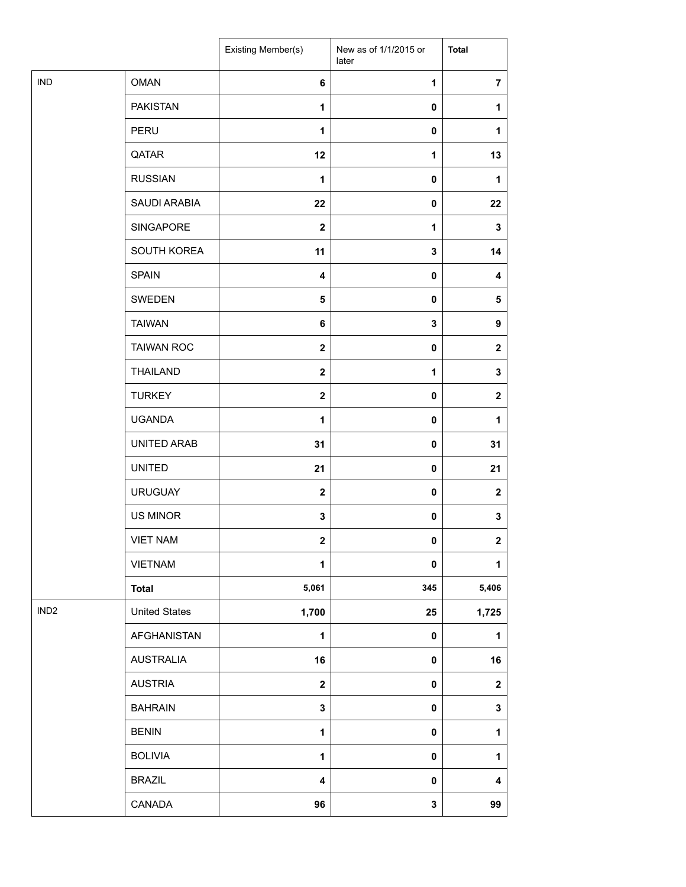|                  |                      | Existing Member(s) | New as of 1/1/2015 or<br>later | <b>Total</b>     |
|------------------|----------------------|--------------------|--------------------------------|------------------|
| <b>IND</b>       | <b>OMAN</b>          | 6                  | $\mathbf{1}$                   | $\overline{7}$   |
|                  | <b>PAKISTAN</b>      | 1                  | 0                              | 1                |
|                  | PERU                 | 1                  | $\mathbf 0$                    | 1                |
|                  | QATAR                | 12                 | 1                              | 13               |
|                  | <b>RUSSIAN</b>       | 1                  | 0                              | 1                |
|                  | SAUDI ARABIA         | 22                 | $\pmb{0}$                      | 22               |
|                  | SINGAPORE            | $\boldsymbol{2}$   | $\mathbf{1}$                   | $\mathbf{3}$     |
|                  | SOUTH KOREA          | 11                 | 3                              | 14               |
|                  | <b>SPAIN</b>         | 4                  | $\mathbf 0$                    | 4                |
|                  | SWEDEN               | 5                  | 0                              | ${\bf 5}$        |
|                  | <b>TAIWAN</b>        | 6                  | 3                              | 9                |
|                  | <b>TAIWAN ROC</b>    | $\mathbf{2}$       | $\mathbf 0$                    | $\boldsymbol{2}$ |
|                  | <b>THAILAND</b>      | $\mathbf 2$        | $\mathbf{1}$                   | $\mathbf 3$      |
|                  | <b>TURKEY</b>        | $\mathbf 2$        | 0                              | $\boldsymbol{2}$ |
|                  | <b>UGANDA</b>        | 1                  | 0                              | 1                |
|                  | UNITED ARAB          | 31                 | 0                              | 31               |
|                  | <b>UNITED</b>        | 21                 | $\mathbf 0$                    | 21               |
|                  | <b>URUGUAY</b>       | $\mathbf{2}$       | $\mathbf 0$                    | $\boldsymbol{2}$ |
|                  | <b>US MINOR</b>      | 3                  | 0                              | $\mathbf 3$      |
|                  | <b>VIET NAM</b>      | 2                  | 0                              | $\boldsymbol{2}$ |
|                  | <b>VIETNAM</b>       | 1                  | 0                              | 1                |
|                  | <b>Total</b>         | 5,061              | 345                            | 5,406            |
| IND <sub>2</sub> | <b>United States</b> | 1,700              | 25                             | 1,725            |
|                  | AFGHANISTAN          | $\mathbf{1}$       | $\pmb{0}$                      | 1                |
|                  | <b>AUSTRALIA</b>     | 16                 | 0                              | 16               |
|                  | <b>AUSTRIA</b>       | $\mathbf{2}$       | 0                              | $\boldsymbol{2}$ |
|                  | <b>BAHRAIN</b>       | $\mathbf 3$        | $\pmb{0}$                      | $\mathbf 3$      |
|                  | <b>BENIN</b>         | 1                  | $\mathbf 0$                    | 1                |
|                  | <b>BOLIVIA</b>       | $\mathbf{1}$       | $\pmb{0}$                      | 1                |
|                  | <b>BRAZIL</b>        | 4                  | 0                              | 4                |
|                  | CANADA               | 96                 | $\mathbf{3}$                   | 99               |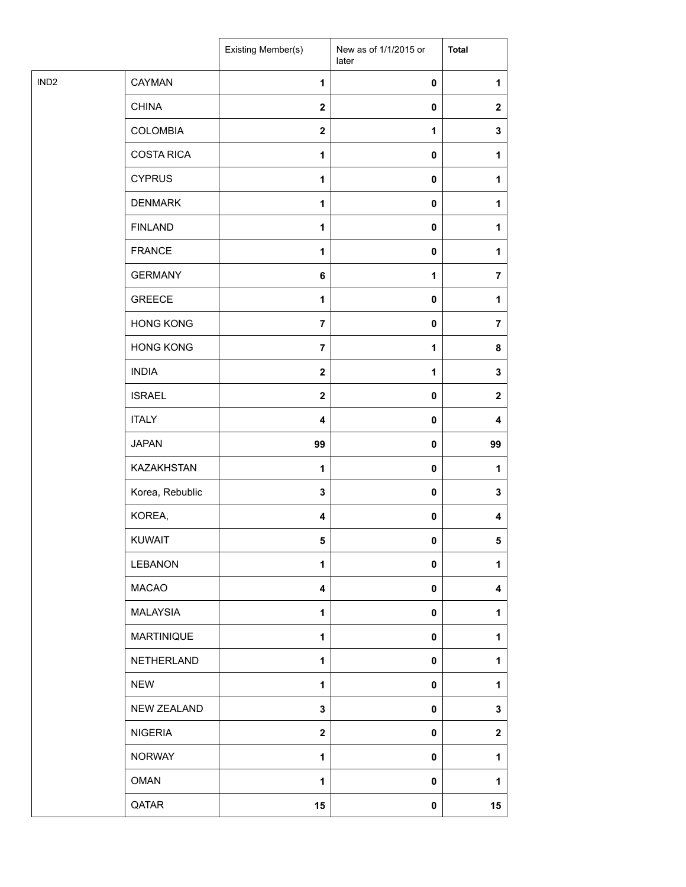| IND <sub>2</sub><br>CAYMAN<br>$\mathbf{1}$<br>$\pmb{0}$<br><b>CHINA</b><br>$\mathbf{2}$<br>$\pmb{0}$<br><b>COLOMBIA</b><br>$\mathbf 2$<br>1<br><b>COSTA RICA</b><br>$\mathbf{1}$<br>$\pmb{0}$<br><b>CYPRUS</b><br>1<br>0<br><b>DENMARK</b><br>1<br>$\pmb{0}$<br><b>FINLAND</b><br>$\mathbf{1}$<br>$\pmb{0}$<br><b>FRANCE</b><br>$\pmb{0}$<br>1<br><b>GERMANY</b><br>6<br>1<br><b>GREECE</b><br>$\mathbf{1}$<br>$\pmb{0}$<br><b>HONG KONG</b><br>$\overline{7}$<br>$\pmb{0}$<br><b>HONG KONG</b><br>$\overline{7}$<br>$\mathbf{1}$<br><b>INDIA</b><br>$\mathbf 2$<br>$\mathbf{1}$<br><b>ISRAEL</b><br>$\mathbf{2}$<br>$\pmb{0}$<br><b>ITALY</b><br>4<br>$\pmb{0}$<br><b>JAPAN</b><br>99<br>$\pmb{0}$<br>KAZAKHSTAN<br>1<br>$\pmb{0}$<br>Korea, Rebublic<br>$\mathbf 3$<br>$\pmb{0}$<br>KOREA,<br>$\overline{\mathbf{4}}$<br>$\pmb{0}$<br><b>KUWAIT</b><br>5<br>$\mathbf 0$<br><b>LEBANON</b><br>1<br>$\pmb{0}$<br><b>MACAO</b><br>$\overline{\mathbf{4}}$<br>$\pmb{0}$<br><b>MALAYSIA</b><br>1<br>$\pmb{0}$<br><b>MARTINIQUE</b><br>$\mathbf{1}$<br>$\pmb{0}$<br>NETHERLAND<br>$\mathbf{1}$<br>$\pmb{0}$<br><b>NEW</b><br>1<br>0<br><b>NEW ZEALAND</b><br>$\mathbf 3$<br>$\pmb{0}$<br><b>NIGERIA</b><br>$\mathbf{2}$<br>$\pmb{0}$<br><b>NORWAY</b><br>$\mathbf{1}$<br>$\pmb{0}$<br><b>OMAN</b><br>1<br>$\pmb{0}$ |  | Existing Member(s) | New as of 1/1/2015 or<br>later | <b>Total</b>            |
|-----------------------------------------------------------------------------------------------------------------------------------------------------------------------------------------------------------------------------------------------------------------------------------------------------------------------------------------------------------------------------------------------------------------------------------------------------------------------------------------------------------------------------------------------------------------------------------------------------------------------------------------------------------------------------------------------------------------------------------------------------------------------------------------------------------------------------------------------------------------------------------------------------------------------------------------------------------------------------------------------------------------------------------------------------------------------------------------------------------------------------------------------------------------------------------------------------------------------------------------------------------------------------------------------------------------|--|--------------------|--------------------------------|-------------------------|
|                                                                                                                                                                                                                                                                                                                                                                                                                                                                                                                                                                                                                                                                                                                                                                                                                                                                                                                                                                                                                                                                                                                                                                                                                                                                                                                 |  |                    |                                | 1                       |
|                                                                                                                                                                                                                                                                                                                                                                                                                                                                                                                                                                                                                                                                                                                                                                                                                                                                                                                                                                                                                                                                                                                                                                                                                                                                                                                 |  |                    |                                | $\mathbf{2}$            |
|                                                                                                                                                                                                                                                                                                                                                                                                                                                                                                                                                                                                                                                                                                                                                                                                                                                                                                                                                                                                                                                                                                                                                                                                                                                                                                                 |  |                    |                                | 3                       |
|                                                                                                                                                                                                                                                                                                                                                                                                                                                                                                                                                                                                                                                                                                                                                                                                                                                                                                                                                                                                                                                                                                                                                                                                                                                                                                                 |  |                    |                                | 1                       |
|                                                                                                                                                                                                                                                                                                                                                                                                                                                                                                                                                                                                                                                                                                                                                                                                                                                                                                                                                                                                                                                                                                                                                                                                                                                                                                                 |  |                    |                                | 1                       |
|                                                                                                                                                                                                                                                                                                                                                                                                                                                                                                                                                                                                                                                                                                                                                                                                                                                                                                                                                                                                                                                                                                                                                                                                                                                                                                                 |  |                    |                                | 1                       |
|                                                                                                                                                                                                                                                                                                                                                                                                                                                                                                                                                                                                                                                                                                                                                                                                                                                                                                                                                                                                                                                                                                                                                                                                                                                                                                                 |  |                    |                                | 1                       |
|                                                                                                                                                                                                                                                                                                                                                                                                                                                                                                                                                                                                                                                                                                                                                                                                                                                                                                                                                                                                                                                                                                                                                                                                                                                                                                                 |  |                    |                                | 1                       |
|                                                                                                                                                                                                                                                                                                                                                                                                                                                                                                                                                                                                                                                                                                                                                                                                                                                                                                                                                                                                                                                                                                                                                                                                                                                                                                                 |  |                    |                                | $\overline{7}$          |
|                                                                                                                                                                                                                                                                                                                                                                                                                                                                                                                                                                                                                                                                                                                                                                                                                                                                                                                                                                                                                                                                                                                                                                                                                                                                                                                 |  |                    |                                | 1                       |
|                                                                                                                                                                                                                                                                                                                                                                                                                                                                                                                                                                                                                                                                                                                                                                                                                                                                                                                                                                                                                                                                                                                                                                                                                                                                                                                 |  |                    |                                | $\overline{\mathbf{r}}$ |
|                                                                                                                                                                                                                                                                                                                                                                                                                                                                                                                                                                                                                                                                                                                                                                                                                                                                                                                                                                                                                                                                                                                                                                                                                                                                                                                 |  |                    |                                | 8                       |
|                                                                                                                                                                                                                                                                                                                                                                                                                                                                                                                                                                                                                                                                                                                                                                                                                                                                                                                                                                                                                                                                                                                                                                                                                                                                                                                 |  |                    |                                | 3                       |
|                                                                                                                                                                                                                                                                                                                                                                                                                                                                                                                                                                                                                                                                                                                                                                                                                                                                                                                                                                                                                                                                                                                                                                                                                                                                                                                 |  |                    |                                | $\mathbf{2}$            |
|                                                                                                                                                                                                                                                                                                                                                                                                                                                                                                                                                                                                                                                                                                                                                                                                                                                                                                                                                                                                                                                                                                                                                                                                                                                                                                                 |  |                    |                                | 4                       |
|                                                                                                                                                                                                                                                                                                                                                                                                                                                                                                                                                                                                                                                                                                                                                                                                                                                                                                                                                                                                                                                                                                                                                                                                                                                                                                                 |  |                    |                                | 99                      |
|                                                                                                                                                                                                                                                                                                                                                                                                                                                                                                                                                                                                                                                                                                                                                                                                                                                                                                                                                                                                                                                                                                                                                                                                                                                                                                                 |  |                    |                                | 1                       |
|                                                                                                                                                                                                                                                                                                                                                                                                                                                                                                                                                                                                                                                                                                                                                                                                                                                                                                                                                                                                                                                                                                                                                                                                                                                                                                                 |  |                    |                                | 3                       |
|                                                                                                                                                                                                                                                                                                                                                                                                                                                                                                                                                                                                                                                                                                                                                                                                                                                                                                                                                                                                                                                                                                                                                                                                                                                                                                                 |  |                    |                                | 4                       |
|                                                                                                                                                                                                                                                                                                                                                                                                                                                                                                                                                                                                                                                                                                                                                                                                                                                                                                                                                                                                                                                                                                                                                                                                                                                                                                                 |  |                    |                                | 5                       |
|                                                                                                                                                                                                                                                                                                                                                                                                                                                                                                                                                                                                                                                                                                                                                                                                                                                                                                                                                                                                                                                                                                                                                                                                                                                                                                                 |  |                    |                                | 1                       |
|                                                                                                                                                                                                                                                                                                                                                                                                                                                                                                                                                                                                                                                                                                                                                                                                                                                                                                                                                                                                                                                                                                                                                                                                                                                                                                                 |  |                    |                                | 4                       |
|                                                                                                                                                                                                                                                                                                                                                                                                                                                                                                                                                                                                                                                                                                                                                                                                                                                                                                                                                                                                                                                                                                                                                                                                                                                                                                                 |  |                    |                                | 1                       |
|                                                                                                                                                                                                                                                                                                                                                                                                                                                                                                                                                                                                                                                                                                                                                                                                                                                                                                                                                                                                                                                                                                                                                                                                                                                                                                                 |  |                    |                                | 1                       |
|                                                                                                                                                                                                                                                                                                                                                                                                                                                                                                                                                                                                                                                                                                                                                                                                                                                                                                                                                                                                                                                                                                                                                                                                                                                                                                                 |  |                    |                                | 1                       |
|                                                                                                                                                                                                                                                                                                                                                                                                                                                                                                                                                                                                                                                                                                                                                                                                                                                                                                                                                                                                                                                                                                                                                                                                                                                                                                                 |  |                    |                                | 1                       |
|                                                                                                                                                                                                                                                                                                                                                                                                                                                                                                                                                                                                                                                                                                                                                                                                                                                                                                                                                                                                                                                                                                                                                                                                                                                                                                                 |  |                    |                                | 3                       |
|                                                                                                                                                                                                                                                                                                                                                                                                                                                                                                                                                                                                                                                                                                                                                                                                                                                                                                                                                                                                                                                                                                                                                                                                                                                                                                                 |  |                    |                                | $\mathbf{2}$            |
|                                                                                                                                                                                                                                                                                                                                                                                                                                                                                                                                                                                                                                                                                                                                                                                                                                                                                                                                                                                                                                                                                                                                                                                                                                                                                                                 |  |                    |                                | 1                       |
|                                                                                                                                                                                                                                                                                                                                                                                                                                                                                                                                                                                                                                                                                                                                                                                                                                                                                                                                                                                                                                                                                                                                                                                                                                                                                                                 |  |                    |                                | 1                       |
| QATAR<br>15<br>$\pmb{0}$                                                                                                                                                                                                                                                                                                                                                                                                                                                                                                                                                                                                                                                                                                                                                                                                                                                                                                                                                                                                                                                                                                                                                                                                                                                                                        |  |                    |                                | 15                      |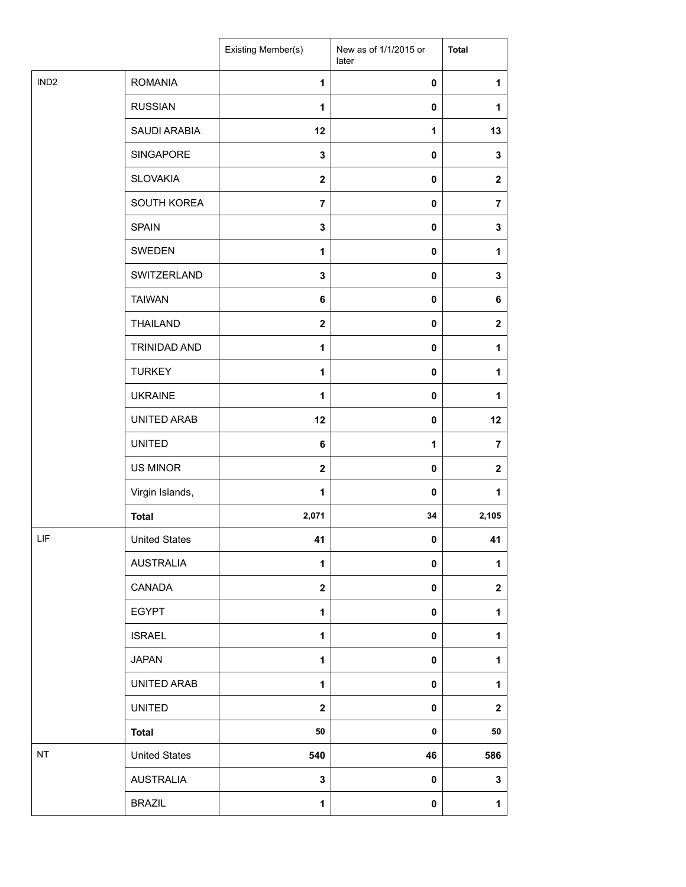|                  |                      | Existing Member(s) | New as of 1/1/2015 or<br>later | <b>Total</b>            |
|------------------|----------------------|--------------------|--------------------------------|-------------------------|
| IND <sub>2</sub> | <b>ROMANIA</b>       | $\mathbf{1}$       | $\pmb{0}$                      | 1                       |
|                  | <b>RUSSIAN</b>       | 1                  | 0                              | 1                       |
|                  | SAUDI ARABIA         | 12                 | $\mathbf{1}$                   | 13                      |
|                  | SINGAPORE            | 3                  | 0                              | 3                       |
|                  | <b>SLOVAKIA</b>      | $\mathbf{2}$       | 0                              | $\mathbf{2}$            |
|                  | SOUTH KOREA          | $\overline{7}$     | $\pmb{0}$                      | $\overline{7}$          |
|                  | <b>SPAIN</b>         | 3                  | $\pmb{0}$                      | $\mathbf 3$             |
|                  | SWEDEN               | 1                  | 0                              | 1                       |
|                  | SWITZERLAND          | 3                  | 0                              | 3                       |
|                  | <b>TAIWAN</b>        | 6                  | 0                              | 6                       |
|                  | <b>THAILAND</b>      | $\mathbf{2}$       | 0                              | $\mathbf{2}$            |
|                  | TRINIDAD AND         | 1                  | $\pmb{0}$                      | 1                       |
|                  | <b>TURKEY</b>        | 1                  | 0                              | 1                       |
|                  | <b>UKRAINE</b>       | 1                  | 0                              | 1                       |
|                  | UNITED ARAB          | 12                 | 0                              | 12                      |
|                  | <b>UNITED</b>        | 6                  | 1                              | $\overline{7}$          |
|                  | <b>US MINOR</b>      | $\mathbf{2}$       | $\pmb{0}$                      | $\overline{\mathbf{2}}$ |
|                  | Virgin Islands,      | 1                  | $\mathbf 0$                    | 1                       |
|                  | <b>Total</b>         | 2,071              | 34                             | 2,105                   |
| LIF              | <b>United States</b> | 41                 | $\mathbf 0$                    | 41                      |
|                  | <b>AUSTRALIA</b>     | 1                  | 0                              | 1                       |
|                  | CANADA               | $\mathbf{2}$       | 0                              | $\mathbf 2$             |
|                  | <b>EGYPT</b>         | $\mathbf{1}$       | 0                              | 1                       |
|                  | <b>ISRAEL</b>        | 1                  | 0                              | $\mathbf{1}$            |
|                  | <b>JAPAN</b>         | 1                  | 0                              | $\mathbf{1}$            |
|                  | UNITED ARAB          | 1                  | 0                              | 1                       |
|                  | <b>UNITED</b>        | $\mathbf 2$        | 0                              | $\mathbf 2$             |
|                  | <b>Total</b>         | 50                 | $\pmb{0}$                      | 50                      |
| NT               | <b>United States</b> | 540                | 46                             | 586                     |
|                  | <b>AUSTRALIA</b>     | 3                  | 0                              | 3                       |
|                  | <b>BRAZIL</b>        | 1                  | $\pmb{0}$                      | $\mathbf 1$             |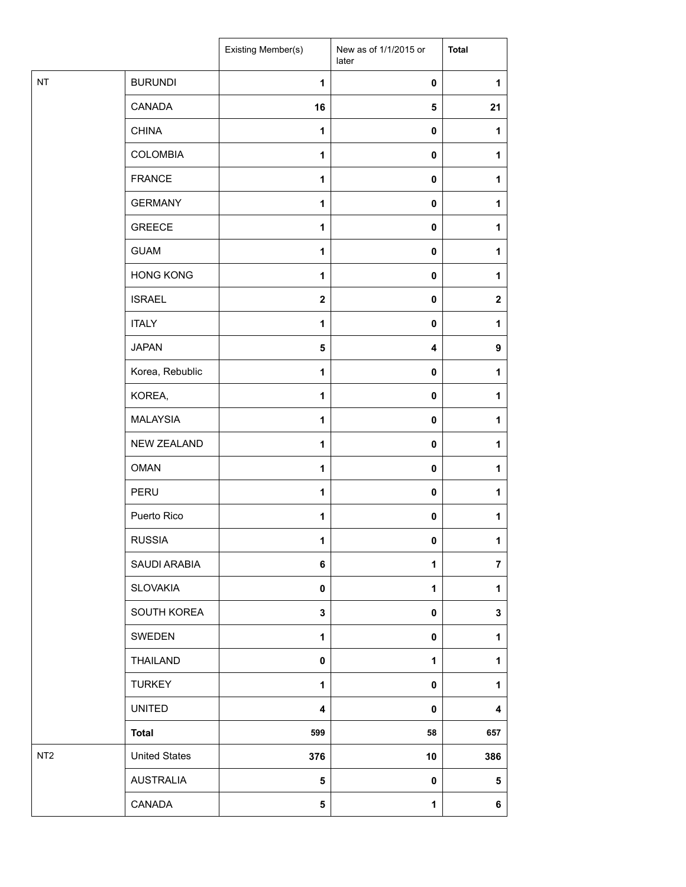|                 |                      | Existing Member(s) | New as of 1/1/2015 or<br>later | <b>Total</b>   |
|-----------------|----------------------|--------------------|--------------------------------|----------------|
| NT              | <b>BURUNDI</b>       | $\mathbf{1}$       | $\pmb{0}$                      | 1              |
|                 | CANADA               | 16                 | $\sqrt{5}$                     | 21             |
|                 | <b>CHINA</b>         | $\mathbf{1}$       | $\pmb{0}$                      | 1              |
|                 | <b>COLOMBIA</b>      | 1                  | $\mathbf 0$                    | 1              |
|                 | <b>FRANCE</b>        | 1                  | $\pmb{0}$                      | 1              |
|                 | <b>GERMANY</b>       | 1                  | $\pmb{0}$                      | 1              |
|                 | <b>GREECE</b>        | 1                  | $\pmb{0}$                      | 1              |
|                 | <b>GUAM</b>          | 1                  | $\pmb{0}$                      | 1              |
|                 | <b>HONG KONG</b>     | 1                  | $\mathbf 0$                    | 1              |
|                 | <b>ISRAEL</b>        | $\mathbf 2$        | $\pmb{0}$                      | $\mathbf 2$    |
|                 | <b>ITALY</b>         | 1                  | $\mathbf 0$                    | 1              |
|                 | <b>JAPAN</b>         | 5                  | $\overline{\mathbf{4}}$        | 9              |
|                 | Korea, Rebublic      | $\mathbf{1}$       | $\pmb{0}$                      | 1              |
|                 | KOREA,               | 1                  | $\mathbf 0$                    | 1              |
|                 | <b>MALAYSIA</b>      | $\mathbf{1}$       | $\pmb{0}$                      | 1              |
|                 | NEW ZEALAND          | $\mathbf{1}$       | $\pmb{0}$                      | 1              |
|                 | <b>OMAN</b>          | 1                  | $\pmb{0}$                      | 1              |
|                 | PERU                 | 1                  | $\pmb{0}$                      | 1              |
|                 | Puerto Rico          | 1                  | $\pmb{0}$                      | 1              |
|                 | <b>RUSSIA</b>        | 1                  | 0                              | $\mathbf 1$    |
|                 | SAUDI ARABIA         | 6                  | 1                              | $\overline{7}$ |
|                 | <b>SLOVAKIA</b>      | 0                  | 1                              | $\mathbf{1}$   |
|                 | SOUTH KOREA          | 3                  | $\mathbf 0$                    | 3              |
|                 | SWEDEN               | 1                  | $\mathbf 0$                    | 1              |
|                 | <b>THAILAND</b>      | 0                  | 1                              | $\mathbf{1}$   |
|                 | <b>TURKEY</b>        | 1                  | 0                              | 1              |
|                 | <b>UNITED</b>        | 4                  | $\mathbf 0$                    | 4              |
|                 | <b>Total</b>         | 599                | 58                             | 657            |
| NT <sub>2</sub> | <b>United States</b> | 376                | 10                             | 386            |
|                 | <b>AUSTRALIA</b>     | 5                  | $\mathbf 0$                    | 5              |
|                 | CANADA               | 5                  | $\mathbf{1}$                   | 6              |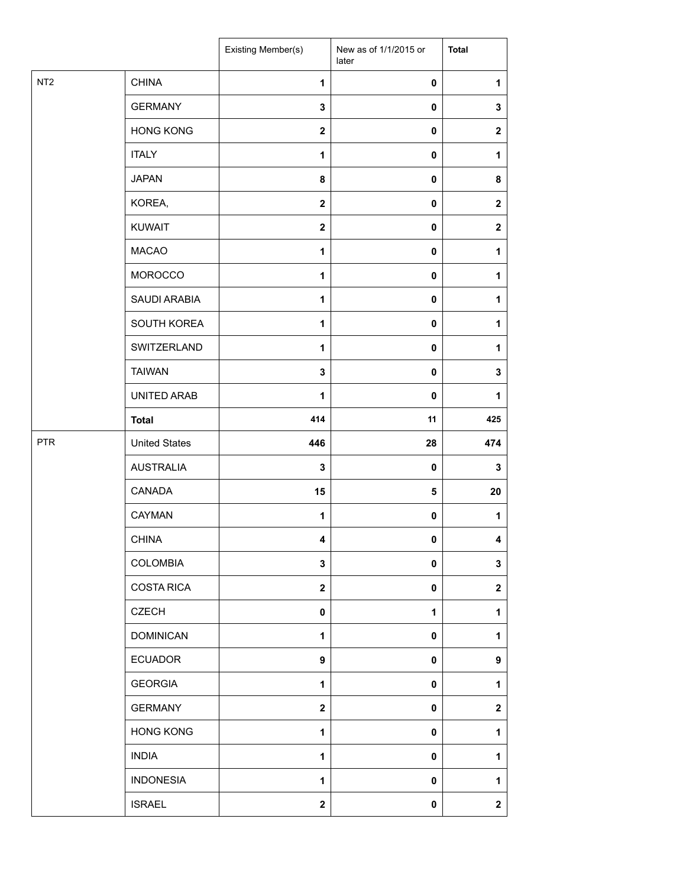|                 |                      | Existing Member(s)      | New as of 1/1/2015 or<br>later | <b>Total</b>            |
|-----------------|----------------------|-------------------------|--------------------------------|-------------------------|
| NT <sub>2</sub> | <b>CHINA</b>         | 1                       | $\pmb{0}$                      | 1                       |
|                 | <b>GERMANY</b>       | 3                       | $\mathbf 0$                    | $\mathbf 3$             |
|                 | <b>HONG KONG</b>     | $\mathbf{2}$            | $\mathbf 0$                    | $\boldsymbol{2}$        |
|                 | <b>ITALY</b>         | 1                       | $\mathbf 0$                    | 1                       |
|                 | <b>JAPAN</b>         | 8                       | $\pmb{0}$                      | 8                       |
|                 | KOREA,               | $\overline{\mathbf{2}}$ | $\pmb{0}$                      | $\boldsymbol{2}$        |
|                 | <b>KUWAIT</b>        | $\mathbf{2}$            | $\pmb{0}$                      | $\boldsymbol{2}$        |
|                 | <b>MACAO</b>         | 1                       | $\pmb{0}$                      | 1                       |
|                 | MOROCCO              | 1                       | $\pmb{0}$                      | 1                       |
|                 | SAUDI ARABIA         | 1                       | $\mathbf 0$                    | 1                       |
|                 | SOUTH KOREA          | 1                       | $\mathbf 0$                    | 1                       |
|                 | SWITZERLAND          | 1                       | $\pmb{0}$                      | 1                       |
|                 | <b>TAIWAN</b>        | $\mathbf 3$             | $\mathbf 0$                    | $\mathbf 3$             |
|                 | UNITED ARAB          | 1                       | $\pmb{0}$                      | 1                       |
|                 | <b>Total</b>         | 414                     | 11                             | 425                     |
| <b>PTR</b>      | <b>United States</b> | 446                     | 28                             | 474                     |
|                 | <b>AUSTRALIA</b>     | $\mathbf 3$             | $\pmb{0}$                      | $\mathbf 3$             |
|                 | CANADA               | 15                      | 5                              | 20                      |
|                 | CAYMAN               | 1                       | 0                              | 1                       |
|                 | <b>CHINA</b>         | 4                       | 0                              | 4                       |
|                 | <b>COLOMBIA</b>      | $\mathbf 3$             | 0                              | $\mathbf 3$             |
|                 | <b>COSTA RICA</b>    | $\mathbf{2}$            | $\mathbf 0$                    | $\overline{\mathbf{2}}$ |
|                 | <b>CZECH</b>         | $\mathbf 0$             | $\mathbf{1}$                   | 1                       |
|                 | <b>DOMINICAN</b>     | 1                       | $\pmb{0}$                      | 1                       |
|                 | <b>ECUADOR</b>       | 9                       | 0                              | 9                       |
|                 | <b>GEORGIA</b>       | 1                       | $\pmb{0}$                      | 1                       |
|                 | <b>GERMANY</b>       | $\overline{\mathbf{2}}$ | $\pmb{0}$                      | $\overline{\mathbf{2}}$ |
|                 | <b>HONG KONG</b>     | 1                       | $\pmb{0}$                      | 1                       |
|                 | <b>INDIA</b>         | 1                       | $\mathbf 0$                    | 1                       |
|                 | <b>INDONESIA</b>     | 1                       | $\mathbf 0$                    | 1                       |
|                 | <b>ISRAEL</b>        | $\mathbf{2}$            | 0                              | $\boldsymbol{2}$        |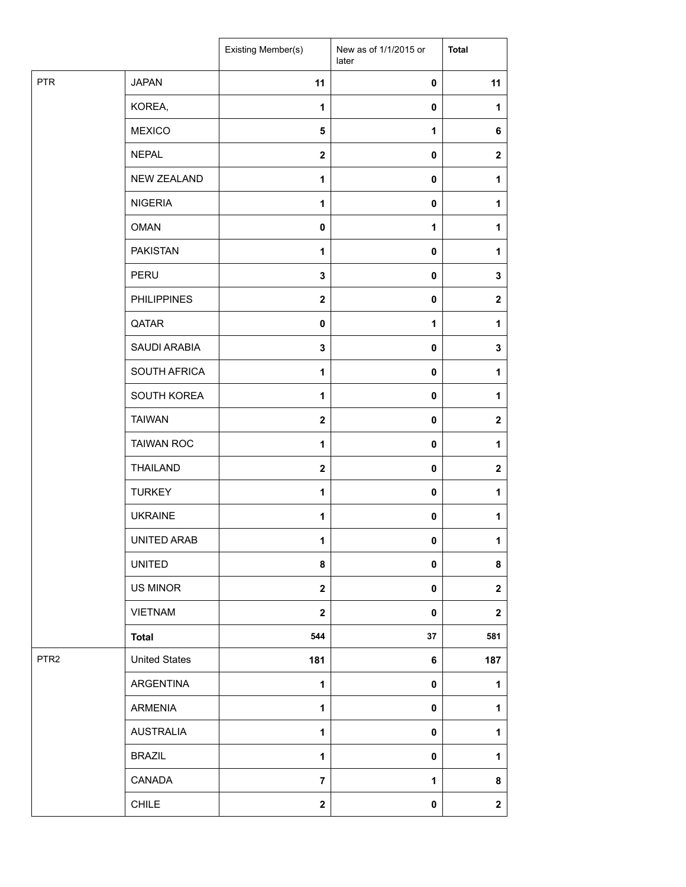|                  |                      | Existing Member(s)      | New as of 1/1/2015 or<br>later | <b>Total</b>            |
|------------------|----------------------|-------------------------|--------------------------------|-------------------------|
| <b>PTR</b>       | <b>JAPAN</b>         | 11                      | $\mathbf 0$                    | 11                      |
|                  | KOREA,               | 1                       | $\pmb{0}$                      | 1                       |
|                  | <b>MEXICO</b>        | 5                       | 1                              | 6                       |
|                  | <b>NEPAL</b>         | $\mathbf 2$             | $\mathbf 0$                    | $\boldsymbol{2}$        |
|                  | NEW ZEALAND          | 1                       | $\pmb{0}$                      | 1                       |
|                  | <b>NIGERIA</b>       | 1                       | $\mathbf 0$                    | 1                       |
|                  | <b>OMAN</b>          | $\mathbf 0$             | 1                              | 1                       |
|                  | <b>PAKISTAN</b>      | $\mathbf{1}$            | $\pmb{0}$                      | 1                       |
|                  | PERU                 | 3                       | $\mathbf 0$                    | 3                       |
|                  | <b>PHILIPPINES</b>   | $\mathbf 2$             | 0                              | $\boldsymbol{2}$        |
|                  | QATAR                | 0                       | 1                              | 1                       |
|                  | SAUDI ARABIA         | 3                       | $\pmb{0}$                      | $\mathbf 3$             |
|                  | SOUTH AFRICA         | $\mathbf{1}$            | $\pmb{0}$                      | 1                       |
|                  | SOUTH KOREA          | 1                       | $\pmb{0}$                      | 1                       |
|                  | <b>TAIWAN</b>        | $\mathbf 2$             | 0                              | $\mathbf 2$             |
|                  | <b>TAIWAN ROC</b>    | 1                       | 0                              | 1                       |
|                  | <b>THAILAND</b>      | $\mathbf{2}$            | $\pmb{0}$                      | $\overline{\mathbf{2}}$ |
|                  | <b>TURKEY</b>        | 1                       | 0                              | 1                       |
|                  | <b>UKRAINE</b>       | 1                       | 0                              | 1                       |
|                  | UNITED ARAB          | 1                       | 0                              | $\mathbf 1$             |
|                  | <b>UNITED</b>        | 8                       | 0                              | 8                       |
|                  | US MINOR             | $\overline{\mathbf{2}}$ | $\pmb{0}$                      | $\mathbf 2$             |
|                  | <b>VIETNAM</b>       | $\overline{\mathbf{2}}$ | $\pmb{0}$                      | $\boldsymbol{2}$        |
|                  | <b>Total</b>         | 544                     | 37                             | 581                     |
| PTR <sub>2</sub> | <b>United States</b> | 181                     | 6                              | 187                     |
|                  | ARGENTINA            | 1                       | $\mathbf 0$                    | 1                       |
|                  | <b>ARMENIA</b>       | $\mathbf{1}$            | $\mathbf 0$                    | $\mathbf{1}$            |
|                  | <b>AUSTRALIA</b>     | 1                       | $\mathbf 0$                    | 1                       |
|                  | <b>BRAZIL</b>        | $\mathbf{1}$            | 0                              | $\mathbf{1}$            |
|                  | CANADA               | $\overline{7}$          | 1                              | 8                       |
|                  | CHILE                | $\mathbf 2$             | $\pmb{0}$                      | $\mathbf{2}$            |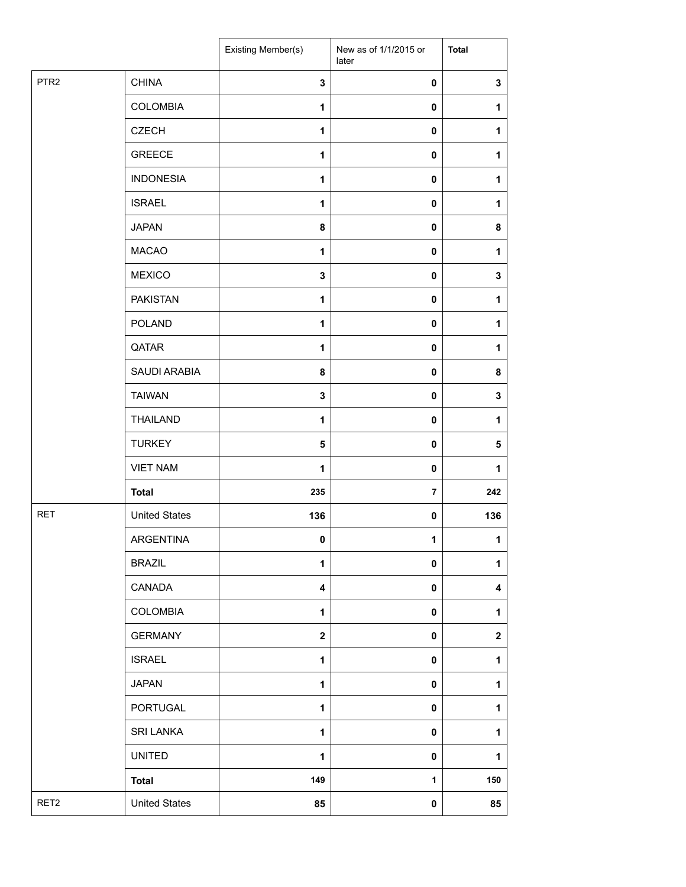|                  |                      | Existing Member(s) | New as of 1/1/2015 or<br>later | <b>Total</b> |
|------------------|----------------------|--------------------|--------------------------------|--------------|
| PTR <sub>2</sub> | <b>CHINA</b>         | 3                  | $\pmb{0}$                      | $\mathbf 3$  |
|                  | <b>COLOMBIA</b>      | 1                  | $\mathbf 0$                    | 1            |
|                  | <b>CZECH</b>         | 1                  | 0                              | 1            |
|                  | <b>GREECE</b>        | 1                  | 0                              | 1            |
|                  | <b>INDONESIA</b>     | 1                  | 0                              | 1            |
|                  | <b>ISRAEL</b>        | $\mathbf{1}$       | 0                              | 1            |
|                  | <b>JAPAN</b>         | 8                  | $\pmb{0}$                      | 8            |
|                  | <b>MACAO</b>         | 1                  | $\mathbf 0$                    | 1            |
|                  | <b>MEXICO</b>        | 3                  | 0                              | $\mathbf 3$  |
|                  | <b>PAKISTAN</b>      | 1                  | 0                              | 1            |
|                  | <b>POLAND</b>        | 1                  | 0                              | 1            |
|                  | QATAR                | 1                  | $\pmb{0}$                      | $\mathbf 1$  |
|                  | SAUDI ARABIA         | 8                  | $\mathbf 0$                    | 8            |
|                  | <b>TAIWAN</b>        | 3                  | $\mathbf 0$                    | 3            |
|                  | <b>THAILAND</b>      | 1                  | 0                              | 1            |
|                  | <b>TURKEY</b>        | 5                  | 0                              | 5            |
|                  | <b>VIET NAM</b>      | 1                  | 0                              | 1            |
|                  | <b>Total</b>         | 235                | $\overline{7}$                 | 242          |
| <b>RET</b>       | <b>United States</b> | 136                | 0                              | 136          |
|                  | ARGENTINA            | 0                  | 1                              | $\mathbf{1}$ |
|                  | <b>BRAZIL</b>        | 1                  | 0                              | $\mathbf{1}$ |
|                  | CANADA               | 4                  | 0                              | 4            |
|                  | <b>COLOMBIA</b>      | 1                  | 0                              | 1            |
|                  | <b>GERMANY</b>       | $\mathbf 2$        | 0                              | $\mathbf 2$  |
|                  | <b>ISRAEL</b>        | 1                  | 0                              | 1            |
|                  | <b>JAPAN</b>         | 1                  | $\pmb{0}$                      | $\mathbf{1}$ |
|                  | PORTUGAL             | $\mathbf{1}$       | 0                              | 1            |
|                  | <b>SRI LANKA</b>     | $\mathbf{1}$       | 0                              | 1            |
|                  | <b>UNITED</b>        | $\mathbf{1}$       | 0                              | 1            |
|                  | <b>Total</b>         | 149                | 1                              | 150          |
| RET <sub>2</sub> | <b>United States</b> | 85                 | 0                              | 85           |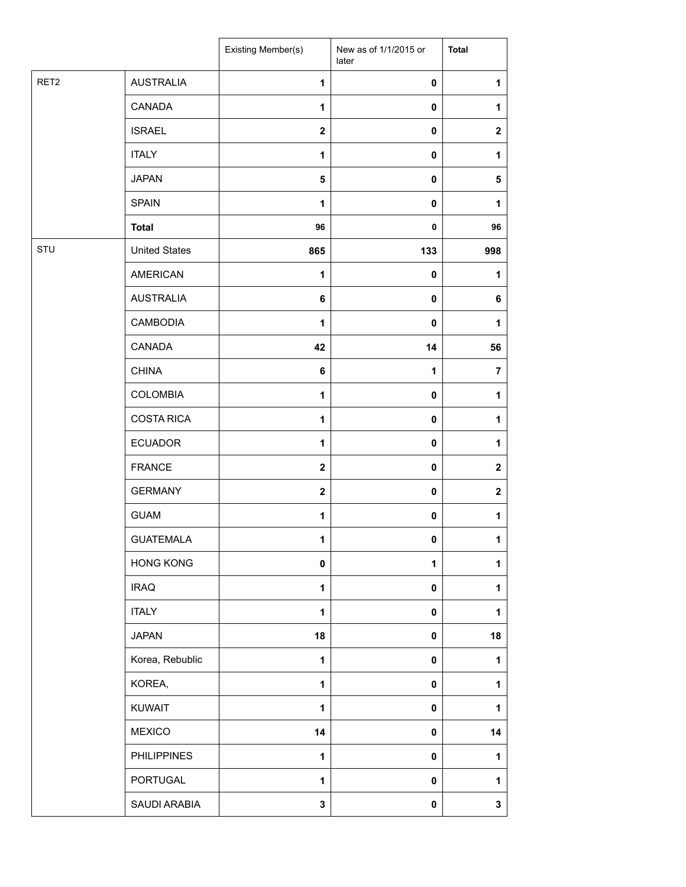|      |                      | Existing Member(s)      | New as of 1/1/2015 or<br>later | <b>Total</b> |
|------|----------------------|-------------------------|--------------------------------|--------------|
| RET2 | <b>AUSTRALIA</b>     | $\mathbf{1}$            | $\pmb{0}$                      | 1            |
|      | CANADA               | $\mathbf{1}$            | 0                              | 1            |
|      | <b>ISRAEL</b>        | $\overline{\mathbf{2}}$ | 0                              | $\mathbf 2$  |
|      | <b>ITALY</b>         | $\mathbf{1}$            | 0                              | 1            |
|      | <b>JAPAN</b>         | 5                       | 0                              | 5            |
|      | <b>SPAIN</b>         | 1                       | 0                              | 1            |
|      | <b>Total</b>         | 96                      | $\pmb{0}$                      | 96           |
| STU  | <b>United States</b> | 865                     | 133                            | 998          |
|      | <b>AMERICAN</b>      | $\mathbf{1}$            | 0                              | 1            |
|      | <b>AUSTRALIA</b>     | 6                       | 0                              | 6            |
|      | <b>CAMBODIA</b>      | $\mathbf{1}$            | $\mathbf 0$                    | 1            |
|      | CANADA               | 42                      | 14                             | 56           |
|      | <b>CHINA</b>         | 6                       | 1                              | 7            |
|      | COLOMBIA             | $\mathbf{1}$            | 0                              | 1            |
|      | <b>COSTA RICA</b>    | $\mathbf{1}$            | 0                              | 1            |
|      | <b>ECUADOR</b>       | $\mathbf{1}$            | $\pmb{0}$                      | 1            |
|      | <b>FRANCE</b>        | $\overline{\mathbf{2}}$ | $\mathbf 0$                    | $\mathbf 2$  |
|      | <b>GERMANY</b>       | $\mathbf{2}$            | 0                              | $\mathbf 2$  |
|      | <b>GUAM</b>          | 1                       | 0                              | 1            |
|      | <b>GUATEMALA</b>     | 1                       | $\pmb{0}$                      | 1            |
|      | <b>HONG KONG</b>     | 0                       | 1                              | 1            |
|      | <b>IRAQ</b>          | $\mathbf{1}$            | 0                              | 1            |
|      | <b>ITALY</b>         | $\mathbf{1}$            | 0                              | 1            |
|      | <b>JAPAN</b>         | 18                      | $\pmb{0}$                      | 18           |
|      | Korea, Rebublic      | $\mathbf{1}$            | 0                              | 1            |
|      | KOREA,               | $\mathbf{1}$            | 0                              | 1            |
|      | <b>KUWAIT</b>        | 1                       | 0                              | 1            |
|      | <b>MEXICO</b>        | 14                      | 0                              | 14           |
|      | <b>PHILIPPINES</b>   | 1                       | $\mathbf 0$                    | 1            |
|      | PORTUGAL             | $\mathbf{1}$            | 0                              | 1            |
|      | SAUDI ARABIA         | 3                       | 0                              | 3            |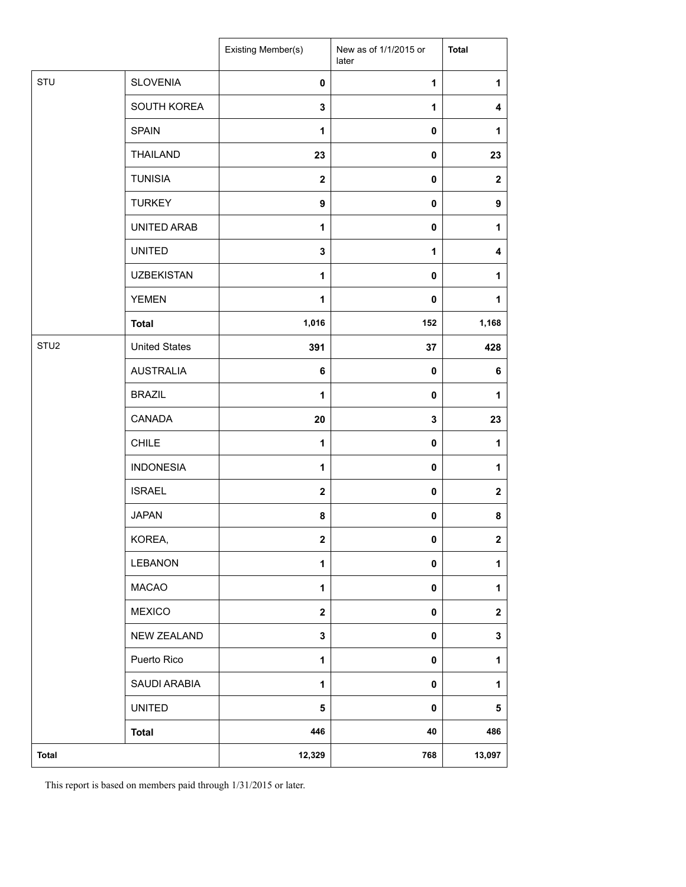|                  |                      | Existing Member(s)      | New as of 1/1/2015 or<br>later | <b>Total</b> |
|------------------|----------------------|-------------------------|--------------------------------|--------------|
| STU              | <b>SLOVENIA</b>      | $\mathbf 0$             | $\mathbf 1$                    | $\mathbf{1}$ |
|                  | SOUTH KOREA          | 3                       | 1                              | 4            |
|                  | <b>SPAIN</b>         | 1                       | 0                              | 1            |
|                  | <b>THAILAND</b>      | 23                      | 0                              | 23           |
|                  | <b>TUNISIA</b>       | $\mathbf{2}$            | 0                              | $\mathbf 2$  |
|                  | <b>TURKEY</b>        | 9                       | 0                              | 9            |
|                  | UNITED ARAB          | $\mathbf{1}$            | 0                              | 1            |
|                  | <b>UNITED</b>        | 3                       | 1                              | 4            |
|                  | <b>UZBEKISTAN</b>    | 1                       | $\mathbf 0$                    | 1            |
|                  | <b>YEMEN</b>         | 1                       | 0                              | 1            |
|                  | <b>Total</b>         | 1,016                   | 152                            | 1,168        |
| STU <sub>2</sub> | <b>United States</b> | 391                     | 37                             | 428          |
|                  | <b>AUSTRALIA</b>     | 6                       | 0                              | 6            |
|                  | <b>BRAZIL</b>        | 1                       | 0                              | 1            |
|                  | CANADA               | 20                      | 3                              | 23           |
|                  | <b>CHILE</b>         | 1                       | $\pmb{0}$                      | 1            |
|                  | <b>INDONESIA</b>     | 1                       | $\pmb{0}$                      | 1            |
|                  | <b>ISRAEL</b>        | $\mathbf{2}$            | 0                              | $\mathbf 2$  |
|                  | <b>JAPAN</b>         | 8                       | 0                              | 8            |
|                  | KOREA,               | $\overline{\mathbf{2}}$ | 0                              | $\mathbf{2}$ |
|                  | LEBANON              | $\mathbf{1}$            | 0                              | $\mathbf{1}$ |
|                  | <b>MACAO</b>         | $\mathbf{1}$            | 0                              | 1            |
|                  | <b>MEXICO</b>        | $\overline{\mathbf{2}}$ | 0                              | $\mathbf 2$  |
|                  | <b>NEW ZEALAND</b>   | $\mathbf 3$             | 0                              | ${\bf 3}$    |
|                  | Puerto Rico          | 1                       | 0                              | $\mathbf{1}$ |
|                  | SAUDI ARABIA         | $\mathbf{1}$            | 0                              | $\mathbf{1}$ |
|                  | <b>UNITED</b>        | 5                       | $\pmb{0}$                      | 5            |
|                  | <b>Total</b>         | 446                     | 40                             | 486          |
| <b>Total</b>     |                      | 12,329                  | 768                            | 13,097       |

This report is based on members paid through 1/31/2015 or later.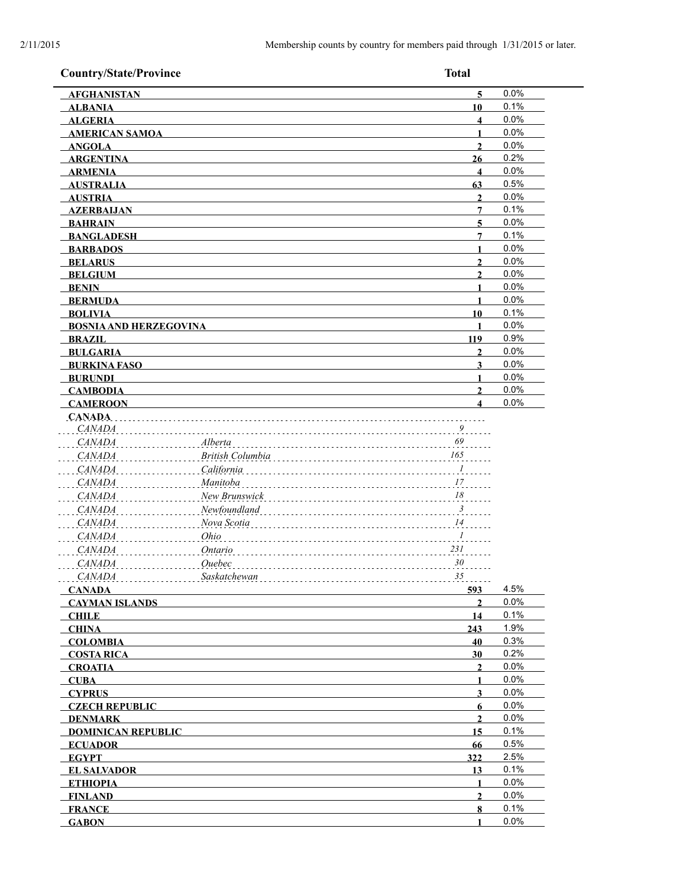| <b>Country/State/Province</b>                                                                                                        | <b>Total</b>                                                                                                                                                                                                                               |      |
|--------------------------------------------------------------------------------------------------------------------------------------|--------------------------------------------------------------------------------------------------------------------------------------------------------------------------------------------------------------------------------------------|------|
| <b>AFGHANISTAN</b>                                                                                                                   | $\overline{\mathbf{5}}$                                                                                                                                                                                                                    | 0.0% |
| <b>ALBANIA</b>                                                                                                                       | 10                                                                                                                                                                                                                                         | 0.1% |
| <b>ALGERIA</b>                                                                                                                       | $\overline{\mathbf{4}}$                                                                                                                                                                                                                    | 0.0% |
| <b>AMERICAN SAMOA</b>                                                                                                                | $\mathbf{1}$                                                                                                                                                                                                                               | 0.0% |
| <b>ANGOLA</b>                                                                                                                        | $\mathbf{2}$                                                                                                                                                                                                                               | 0.0% |
| <b>ARGENTINA</b>                                                                                                                     | 26                                                                                                                                                                                                                                         | 0.2% |
| <b>ARMENIA</b>                                                                                                                       | $\overline{\mathbf{4}}$                                                                                                                                                                                                                    | 0.0% |
| <b>AUSTRALIA</b>                                                                                                                     | 63                                                                                                                                                                                                                                         | 0.5% |
| <b>AUSTRIA</b>                                                                                                                       | $\mathbf{2}$                                                                                                                                                                                                                               | 0.0% |
| <b>AZERBAIJAN</b>                                                                                                                    | 7                                                                                                                                                                                                                                          | 0.1% |
| <b>BAHRAIN</b>                                                                                                                       | 5                                                                                                                                                                                                                                          | 0.0% |
| <b>BANGLADESH</b>                                                                                                                    | 7                                                                                                                                                                                                                                          | 0.1% |
| <b>BARBADOS</b>                                                                                                                      | $\blacksquare$                                                                                                                                                                                                                             | 0.0% |
| <b>BELARUS</b>                                                                                                                       | $\overline{2}$                                                                                                                                                                                                                             | 0.0% |
| <b>BELGIUM</b>                                                                                                                       | $\overline{2}$                                                                                                                                                                                                                             | 0.0% |
| <b>BENIN</b>                                                                                                                         | 1                                                                                                                                                                                                                                          | 0.0% |
| <b>BERMUDA</b>                                                                                                                       | 1                                                                                                                                                                                                                                          | 0.0% |
| <b>BOLIVIA</b>                                                                                                                       | 10                                                                                                                                                                                                                                         | 0.1% |
| <b>BOSNIA AND HERZEGOVINA</b>                                                                                                        | 1                                                                                                                                                                                                                                          | 0.0% |
| <b>BRAZIL</b>                                                                                                                        | 119                                                                                                                                                                                                                                        | 0.9% |
| <b>BULGARIA</b>                                                                                                                      | $\mathbf{2}$                                                                                                                                                                                                                               | 0.0% |
| <b>BURKINA FASO</b>                                                                                                                  | 3                                                                                                                                                                                                                                          | 0.0% |
| <b>BURUNDI</b>                                                                                                                       | 1                                                                                                                                                                                                                                          | 0.0% |
| <b>CAMBODIA</b>                                                                                                                      | $\overline{2}$                                                                                                                                                                                                                             | 0.0% |
| <b>CAMEROON</b>                                                                                                                      | $\boldsymbol{\Delta}$                                                                                                                                                                                                                      | 0.0% |
| <b>CANADA</b>                                                                                                                        |                                                                                                                                                                                                                                            |      |
| <i>CANADA</i><br><i>CANADA</i><br><i>CANADA</i><br><b>CANADA</b><br><b>CANADA</b><br><b>CANADA</b><br><i>CANADA</i><br><b>CANADA</b> | California<br>$\ldots$ $^I$<br>Manitoba<br>$\ldots$ 17<br>$\ldots$ <sup>18</sup><br>New Brunswick<br>$\ldots$ $\beta$<br>Newfoundland<br>Nova Scotia<br>$\ldots$ <sup>14</sup><br>Ohio<br>$\overline{I}$<br>Ontario<br>231<br>30<br>Ouebec |      |
| CANADA                                                                                                                               | Saskatchewan<br>35                                                                                                                                                                                                                         |      |
| <b>CANADA</b>                                                                                                                        | 593                                                                                                                                                                                                                                        | 4.5% |
| <b>CAYMAN ISLANDS</b>                                                                                                                | $\overline{2}$                                                                                                                                                                                                                             | 0.0% |
| <b>CHILE</b>                                                                                                                         | 14                                                                                                                                                                                                                                         | 0.1% |
| <b>CHINA</b>                                                                                                                         | 243                                                                                                                                                                                                                                        | 1.9% |
| <b>COLOMBIA</b>                                                                                                                      | 40                                                                                                                                                                                                                                         | 0.3% |
| <b>COSTA RICA</b>                                                                                                                    | 30                                                                                                                                                                                                                                         | 0.2% |
| <b>CROATIA</b>                                                                                                                       | $\mathbf{2}$                                                                                                                                                                                                                               | 0.0% |
| <b>CUBA</b>                                                                                                                          | 1                                                                                                                                                                                                                                          | 0.0% |
| <b>CYPRUS</b>                                                                                                                        | 3                                                                                                                                                                                                                                          | 0.0% |
| <b>CZECH REPUBLIC</b>                                                                                                                | 6                                                                                                                                                                                                                                          | 0.0% |
| <b>DENMARK</b>                                                                                                                       | $\mathbf{2}$                                                                                                                                                                                                                               | 0.0% |
| <b>DOMINICAN REPUBLIC</b>                                                                                                            | 15                                                                                                                                                                                                                                         | 0.1% |
| <b>ECUADOR</b>                                                                                                                       | 66                                                                                                                                                                                                                                         | 0.5% |
| <b>EGYPT</b>                                                                                                                         | 322                                                                                                                                                                                                                                        | 2.5% |
| <b>EL SALVADOR</b>                                                                                                                   | 13                                                                                                                                                                                                                                         | 0.1% |
| <b>ETHIOPIA</b>                                                                                                                      | $\mathbf{1}$                                                                                                                                                                                                                               | 0.0% |
| <b>FINLAND</b>                                                                                                                       | $\overline{2}$                                                                                                                                                                                                                             | 0.0% |
| <b>FRANCE</b>                                                                                                                        | 8                                                                                                                                                                                                                                          | 0.1% |
|                                                                                                                                      | 1                                                                                                                                                                                                                                          | 0.0% |
| <b>GABON</b>                                                                                                                         |                                                                                                                                                                                                                                            |      |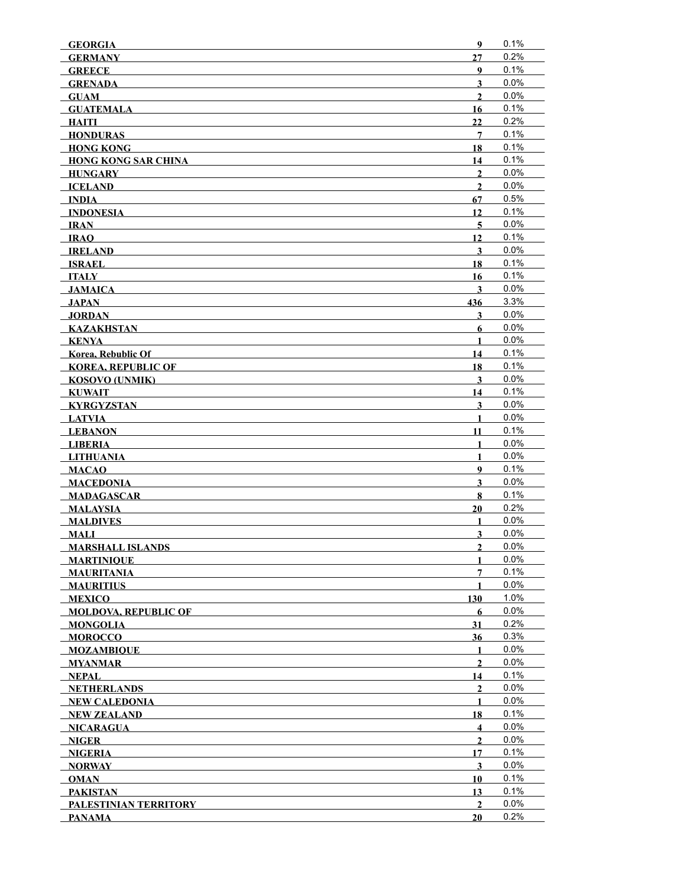| <b>GEORGIA</b>                               | 9                       | 0.1% |
|----------------------------------------------|-------------------------|------|
| <b>GERMANY</b>                               | 27                      | 0.2% |
| <b>GREECE</b>                                | 9                       | 0.1% |
| <b>GRENADA</b>                               | $\overline{\mathbf{3}}$ | 0.0% |
| <b>GUAM</b>                                  | $\overline{2}$          | 0.0% |
| <b>GUATEMALA</b>                             | 16                      | 0.1% |
| HAITI                                        | 22                      | 0.2% |
| <b>HONDURAS</b>                              | 7                       | 0.1% |
| <b>HONG KONG</b>                             | 18                      | 0.1% |
| <b>HONG KONG SAR CHINA</b>                   | 14                      | 0.1% |
| <b>HUNGARY</b>                               | $\mathbf{2}$            | 0.0% |
| <b>ICELAND</b>                               | $\overline{2}$          | 0.0% |
| $\blacksquare$ $\blacksquare$ $\blacksquare$ | 67                      | 0.5% |
| <b>INDONESIA</b>                             | 12                      | 0.1% |
| IRAN                                         | $\overline{5}$          | 0.0% |
| <b>IRAO</b>                                  | 12                      | 0.1% |
| <b>IRELAND</b>                               | $\overline{\mathbf{3}}$ | 0.0% |
| <b>ISRAEL</b>                                | 18                      | 0.1% |
| ITALY                                        | 16                      | 0.1% |
| JAMAICA                                      | $\overline{\mathbf{3}}$ | 0.0% |
| JAPAN                                        | 436                     | 3.3% |
| <b>JORDAN</b>                                | 3                       | 0.0% |
| <b>KAZAKHSTAN</b>                            | 6                       | 0.0% |
| <b>KENYA</b>                                 | $\mathbf{1}$            | 0.0% |
| Korea, Rebublic Of                           | 14                      | 0.1% |
| <b>KOREA, REPUBLIC OF</b>                    | 18                      | 0.1% |
| <b>KOSOVO (UNMIK)</b>                        | $\overline{\mathbf{3}}$ | 0.0% |
| <b>KUWAIT</b>                                | 14                      | 0.1% |
| <b>KYRGYZSTAN</b>                            | $\overline{\mathbf{3}}$ | 0.0% |
| <b>LATVIA</b>                                | 1                       | 0.0% |
| <b>LEBANON</b>                               | 11                      | 0.1% |
| <b>LIBERIA</b>                               | $\mathbf{1}$            | 0.0% |
| <b>LITHUANIA</b>                             | $\mathbf{1}$            | 0.0% |
| <b>MACAO</b>                                 | 9                       | 0.1% |
| <b>MACEDONIA</b>                             | $\overline{\mathbf{3}}$ | 0.0% |
| <b>MADAGASCAR</b>                            | 8                       | 0.1% |
| <b>MALAYSIA</b>                              | 20                      | 0.2% |
| <b>MALDIVES</b>                              | $\mathbf{1}$            | 0.0% |
| <b>MALI</b>                                  | $\overline{\mathbf{3}}$ | 0.0% |
| <b>MARSHALL ISLANDS</b>                      | $\overline{2}$          | 0.0% |
| <b>MARTINIOUE</b>                            | 1                       | 0.0% |
| <b>MAURITANIA</b>                            | 7                       | 0.1% |
| <b>MAURITIUS</b>                             | 1                       | 0.0% |
| <b>MEXICO</b>                                | 130                     | 1.0% |
| <b>MOLDOVA, REPUBLIC OF</b>                  | 6                       | 0.0% |
| <b>MONGOLIA</b>                              | 31                      | 0.2% |
| <b>MOROCCO</b>                               | 36                      | 0.3% |
| <b>MOZAMBIOUE</b>                            | $\mathbf{1}$            | 0.0% |
| <b>MYANMAR</b>                               | $\overline{2}$          | 0.0% |
| <b>NEPAL</b>                                 | 14                      | 0.1% |
| <b>NETHERLANDS</b>                           | $\mathbf{2}$            | 0.0% |
| NEW CALEDONIA                                | 1                       | 0.0% |
| <b>NEW ZEALAND</b>                           | 18                      | 0.1% |
| <b>NICARAGUA</b>                             | $\overline{\mathbf{4}}$ | 0.0% |
| NIGER                                        | $\mathbf{2}$            | 0.0% |
| <b>NIGERIA</b>                               | 17                      | 0.1% |
| <b>NORWAY</b>                                | $\mathbf{3}$            | 0.0% |
| <b>OMAN</b>                                  | 10                      | 0.1% |
| <b>PAKISTAN</b>                              | 13                      | 0.1% |
| PALESTINIAN TERRITORY                        | $\overline{2}$          | 0.0% |
| <b>PANAMA</b>                                | 20                      | 0.2% |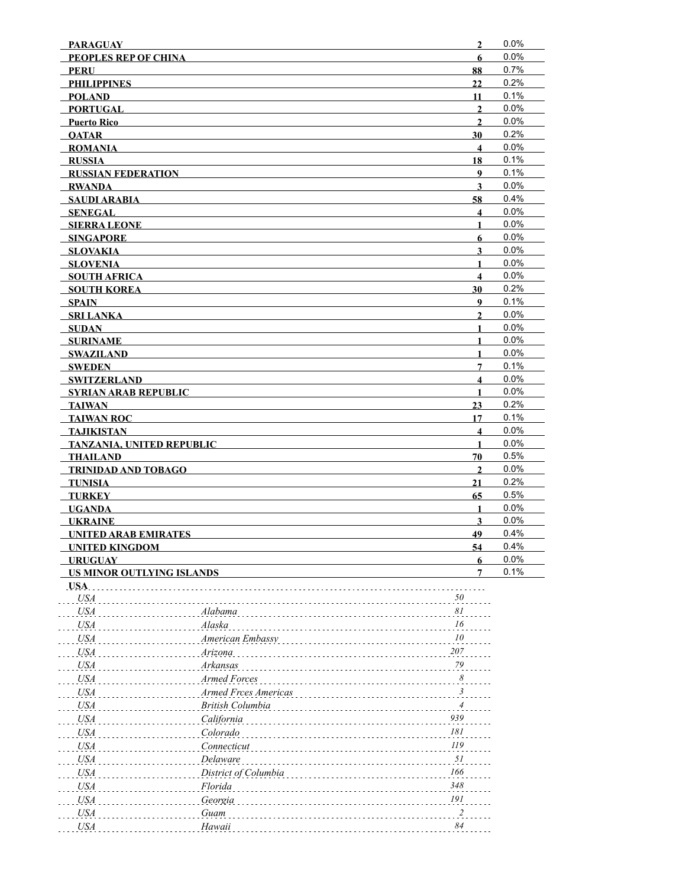| <b>PARAGUAY</b>                  |                      | $\overline{2}$          | 0.0% |
|----------------------------------|----------------------|-------------------------|------|
| <b>PEOPLES REP OF CHINA</b>      |                      | 6                       | 0.0% |
| <b>PERU</b>                      |                      | 88                      | 0.7% |
| <b>PHILIPPINES</b>               |                      | 22                      | 0.2% |
| <b>POLAND</b>                    |                      | 11                      | 0.1% |
| <b>PORTUGAL</b>                  |                      | $\overline{2}$          | 0.0% |
| <b>Puerto Rico</b>               |                      | $\mathbf{2}$            | 0.0% |
| <b>OATAR</b>                     |                      | 30                      | 0.2% |
| <b>ROMANIA</b>                   |                      | $\overline{\mathbf{4}}$ | 0.0% |
| <b>RUSSIA</b>                    |                      | 18                      | 0.1% |
| <b>RUSSIAN FEDERATION</b>        |                      | 9                       | 0.1% |
| <b>RWANDA</b>                    |                      | $\overline{\mathbf{3}}$ | 0.0% |
| <b>SAUDI ARABIA</b>              |                      | 58                      | 0.4% |
| <b>SENEGAL</b>                   |                      | $\overline{\mathbf{4}}$ | 0.0% |
| <b>SIERRA LEONE</b>              |                      | $\mathbf{1}$            | 0.0% |
| <b>SINGAPORE</b>                 |                      | 6                       | 0.0% |
| <b>SLOVAKIA</b>                  |                      | 3                       | 0.0% |
| <b>SLOVENIA</b>                  |                      | 1                       | 0.0% |
| <b>SOUTH AFRICA</b>              |                      | $\overline{\mathbf{4}}$ | 0.0% |
| <b>SOUTH KOREA</b>               |                      | 30                      | 0.2% |
| <b>SPAIN</b>                     |                      | 9                       | 0.1% |
| <b>SRI LANKA</b>                 |                      | $\mathbf{2}$            | 0.0% |
| <b>SUDAN</b>                     |                      | $\mathbf{1}$            | 0.0% |
| <b>SURINAME</b>                  |                      | $\mathbf{1}$            | 0.0% |
| <b>SWAZILAND</b>                 |                      | $\mathbf{1}$            | 0.0% |
| <b>SWEDEN</b>                    |                      | $\overline{7}$          | 0.1% |
| <b>SWITZERLAND</b>               |                      | $\overline{\mathbf{4}}$ | 0.0% |
| <b>SYRIAN ARAB REPUBLIC</b>      |                      | $\mathbf{1}$            | 0.0% |
| <b>TAIWAN</b>                    |                      | 23                      | 0.2% |
| <b>TAIWAN ROC</b>                |                      | 17                      | 0.1% |
| <b>TAJIKISTAN</b>                |                      | $\overline{\mathbf{4}}$ | 0.0% |
| <b>TANZANIA, UNITED REPUBLIC</b> |                      | 1                       | 0.0% |
| <b>THAILAND</b>                  |                      | 70                      | 0.5% |
| <b>TRINIDAD AND TOBAGO</b>       |                      | $\mathbf{2}$            | 0.0% |
| <b>TUNISIA</b>                   |                      | 21                      | 0.2% |
| <b>TURKEY</b>                    |                      | 65                      | 0.5% |
| <b>UGANDA</b>                    |                      | $\mathbf{1}$            | 0.0% |
| <b>UKRAINE</b>                   |                      | 3                       | 0.0% |
| <b>UNITED ARAB EMIRATES</b>      |                      | 49                      | 0.4% |
| <b>UNITED KINGDOM</b>            |                      | 54                      | 0.4% |
| <b>URUGUAY</b>                   |                      | 6                       | 0.0% |
| <b>US MINOR OUTLYING ISLANDS</b> |                      | 7                       | 0.1% |
| USA.                             |                      |                         |      |
| <b>USA</b>                       |                      | 50                      |      |
| <b>USA</b>                       | Alabama              | 81                      |      |
| <b>USA</b>                       | Alaska               | 16                      |      |
| <b>USA</b>                       | American Embassy     | 10                      |      |
| <b>USA</b>                       | Arizona              | 207                     |      |
| <b>USA</b>                       | Arkansas             | $79\,$                  |      |
| <b>USA</b>                       | Armed Forces         | $\boldsymbol{\delta}$   |      |
| <b>USA</b>                       | Armed Frces Americas | 3                       |      |
| <b>USA</b>                       | British Columbia     | 4                       |      |
| <b>USA</b>                       | California           | 939                     |      |
| <b>USA</b>                       | Colorado             | 181                     |      |
| <b>USA</b>                       | Connecticut          | 119                     |      |
| <b>USA</b>                       | Delaware             | 51                      |      |
| <b>USA</b>                       | District of Columbia | 166                     |      |
| <b>USA</b>                       | Florida              | 348                     |      |
| <b>USA</b>                       | Georgia              | 191                     |      |
| <b>USA</b>                       | Guam                 | $\overline{2}$          |      |
| <b>USA</b>                       | Hawaii               | 84                      |      |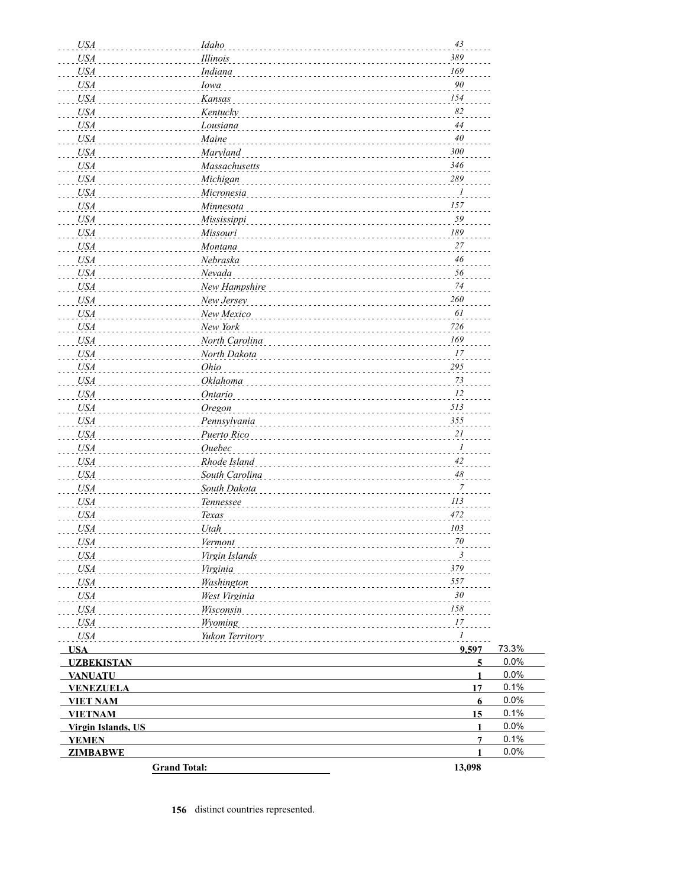| <b>USA</b>                | Idaho               | 43                   |              |
|---------------------------|---------------------|----------------------|--------------|
| <b>USA</b>                | Illinois            | 389                  |              |
| <b>USA</b>                | Indiana             | 169                  |              |
| <b>USA</b>                | Iowa                | $90\,$               |              |
| <b>USA</b>                | Kansas              | 154                  |              |
| <b>USA</b>                | Kentucky            | 82                   |              |
| <b>USA</b>                | Lousiana            | 44                   |              |
| <b>USA</b>                | Maine               | 40                   |              |
| <b>USA</b>                | Maryland            | 300                  |              |
| <b>USA</b>                | Massachusetts       | 346                  |              |
| <b>USA</b>                | Michigan            | 289                  |              |
| <b>USA</b>                | Micronesia          | $\boldsymbol{l}$     |              |
| <b>USA</b>                | Minnesota           | 157                  |              |
| <b>USA</b>                | Mississippi         | 59                   |              |
| <b>USA</b>                | Missouri            | 189                  |              |
| <b>USA</b>                | Montana             | 27                   |              |
| <b>USA</b>                | Nebraska            | 46                   |              |
| <b>USA</b>                | Nevada              | 56                   |              |
| <b>USA</b>                | New Hampshire       | $74$                 |              |
| <b>USA</b>                | New Jersey          | 260                  |              |
| <b>USA</b>                | New Mexico          | 61                   |              |
| <b>USA</b>                | New York            | 726                  |              |
| <b>USA</b>                | North Carolina      | 169                  |              |
| <b>USA</b>                | North Dakota        | 17                   |              |
| <b>USA</b>                | Ohio                | 295                  |              |
| <b>USA</b>                | Oklahoma            | 73                   |              |
| <b>USA</b>                | Ontario             | 12                   |              |
| <b>USA</b>                | Oregon              | 513                  |              |
| <b>USA</b>                | Pennsylvania        | 355                  |              |
| <b>USA</b>                | Puerto Rico         | 21                   |              |
| <b>USA</b>                | <b>Ouebec</b>       | $\mathcal{I}$        |              |
| <b>USA</b>                | Rhode Island        | 42                   |              |
| <b>USA</b>                | South Carolina      | $48$                 |              |
| <b>USA</b>                | South Dakota        | 7                    |              |
| <b>USA</b>                | Tennessee           | 113                  |              |
| <b>USA</b>                | Texas               | 472                  |              |
| <b>USA</b>                | Utah                | 103                  |              |
| USA                       | Vermont             | $70\,$               |              |
| <i>USA</i>                | Virgin Islands      | $\boldsymbol{\beta}$ |              |
| <b>USA</b>                | Virginia            | 379                  |              |
| USA                       | Washington          | 557                  |              |
| USA                       | West Virginia       | 30                   |              |
| USA                       | Wisconsin           | 158                  |              |
| USA                       | Wyoming             | 17                   |              |
| <b>USA</b>                | Yukon Territory     | $\mathcal{A}$        |              |
| <b>USA</b>                |                     | 9,597                | 73.3%        |
| <b>UZBEKISTAN</b>         |                     | $\overline{5}$       | 0.0%         |
| <b>VANUATU</b>            |                     | $\mathbf{1}$         | 0.0%         |
| <b>VENEZUELA</b>          |                     | 17                   | 0.1%         |
| <b>VIET NAM</b>           |                     | 6                    | 0.0%         |
| <b>VIETNAM</b>            |                     | 15                   | 0.1%         |
| <b>Virgin Islands, US</b> |                     | 1                    | 0.0%         |
| <b>YEMEN</b>              |                     | 7<br>1               | 0.1%<br>0.0% |
| <b>ZIMBABWE</b>           |                     |                      |              |
|                           | <b>Grand Total:</b> | 13,098               |              |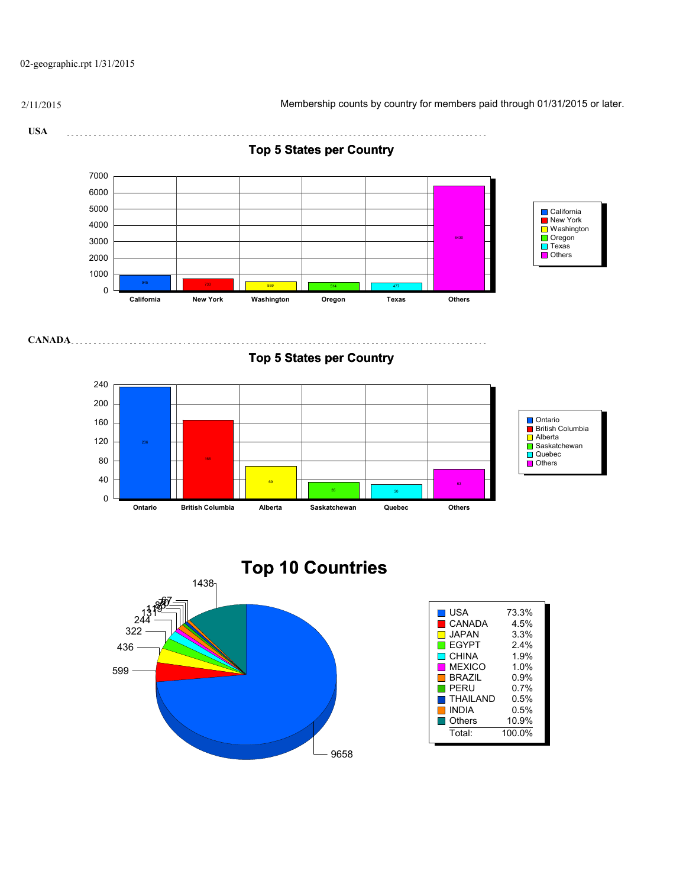02-geographic.rpt 1/31/2015

2/11/2015 Membership counts by country for members paid through 01/31/2015 or later.

**USA** 

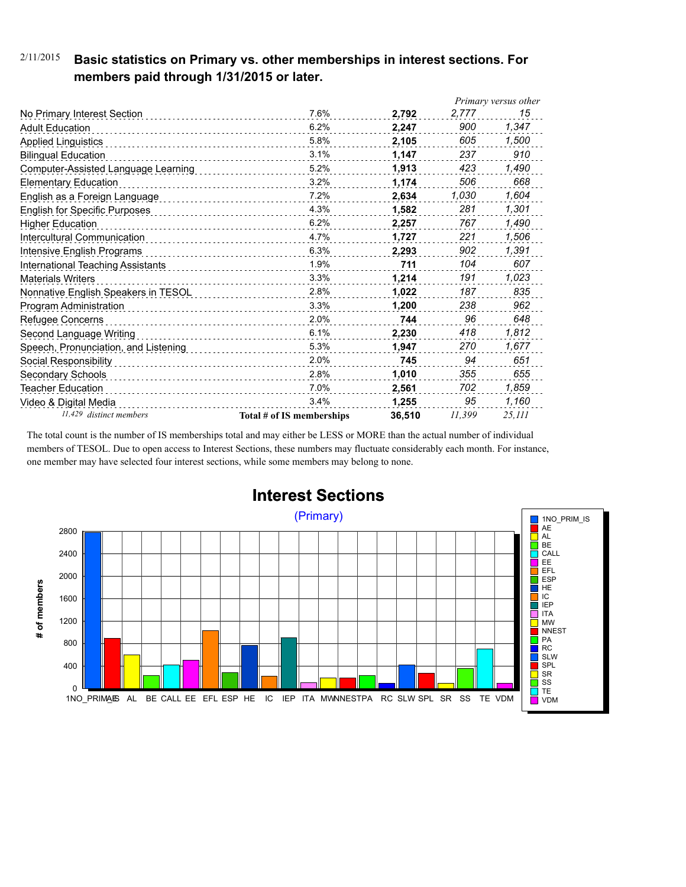### 2/11/2015 **Basic statistics on Primary vs. other memberships in interest sections. For members paid through 1/31/2015 or later.**

|                                      |                           |        |        | Primary versus other |
|--------------------------------------|---------------------------|--------|--------|----------------------|
| No Primary Interest Section          | 7.6%                      | 2.792  | 2,777  | 15                   |
| <b>Adult Education</b>               | 6.2%                      | 2.247  | 900    | 1,347                |
| <b>Applied Linguistics</b>           | 5.8%                      | 2,105  | 605    | 1,500                |
| <b>Bilingual Education</b>           | 3.1%                      | 1,147  | 237    | 910                  |
| Computer-Assisted Language Learning  | 5.2%                      | 1,913  | 423    | 1,490                |
| <b>Elementary Education</b>          | 3.2%                      | 1,174  | 506    | 668                  |
| English as a Foreign Language        | 7.2%                      | 2.634  | 1,030  | 1,604                |
| <b>English for Specific Purposes</b> | 4.3%                      | 1.582  | 281    | 1,301                |
| <b>Higher Education</b>              | 6.2%                      | 2,257  | 767    | 1,490                |
| Intercultural Communication          | 4.7%                      | 1,727  | 221    | 1,506                |
| Intensive English Programs           | 6.3%                      | 2,293  | 902    | 1,391                |
| International Teaching Assistants    | 1.9%                      | 711    | 104    | 607                  |
| <b>Materials Writers</b>             | 3.3%<br>.                 | 1,214  | 191    | 1,023                |
| Nonnative English Speakers in TESOL  | 2.8%                      | 1,022  | 187    | 835                  |
| Program Administration               | 3.3%                      | 1.200  | 238    | 962                  |
| Refugee Concerns                     | 2.0%                      | 744    | 96     | 648                  |
| Second Language Writing              | 6.1%                      | 2,230  | 418    | 1,812                |
| Speech, Pronunciation, and Listening | 5.3%                      | 1,947  | 270    | 1,677                |
| Social Responsibility                | 2.0%                      | 745    | 94     | 651                  |
| Secondary Schools                    | 2.8%                      | 1,010  | 355    | 655                  |
| Teacher Education                    | 7.0%                      | 2,561  | 702    | 1,859                |
| Video & Digital Media                | 3.4%                      | 1,255  | 95     | 1,160                |
| 11,429 distinct members              | Total # of IS memberships | 36,510 | 11.399 | 25,111               |

The total count is the number of IS memberships total and may either be LESS or MORE than the actual number of individual members of TESOL. Due to open access to Interest Sections, these numbers may fluctuate considerably each month. For instance, one member may have selected four interest sections, while some members may belong to none.



## **Interest Sections**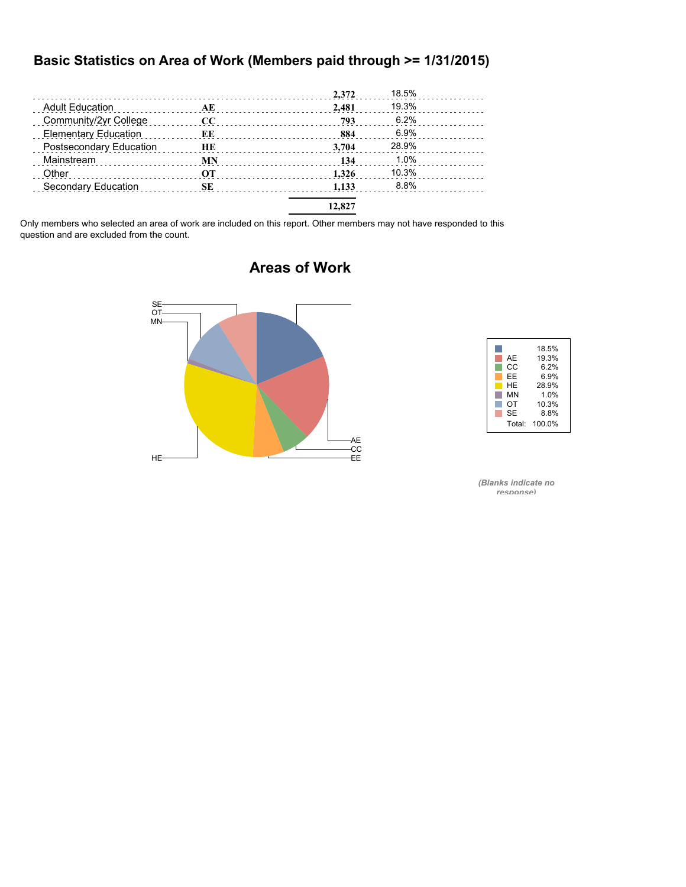### **Basic Statistics on Area of Work (Members paid through >= 1/31/2015)**

|                                                   |           | 2,372  | 18.5% |  |
|---------------------------------------------------|-----------|--------|-------|--|
| <b>Adult Education</b><br>and a complete state of | AE        | 2.481  | 19.3% |  |
| Community/2yr College                             | cc        | 793    | 6.2%  |  |
| <b>Elementary Education</b>                       | ЕE        | 884    | 6.9%  |  |
| Postsecondary Education                           | HE        | 3.704  | 28.9% |  |
| Mainstream                                        | <b>MN</b> | 134    | 1.0%  |  |
| Other                                             | OТ        | 1.326  | 10.3% |  |
| Secondary Education                               | SЕ        | 1.133  | 8.8%  |  |
|                                                   |           | 12,827 |       |  |

Only members who selected an area of work are included on this report. Other members may not have responded to this question and are excluded from the count.



### **Areas of Work**



*(Blanks indicate no response)*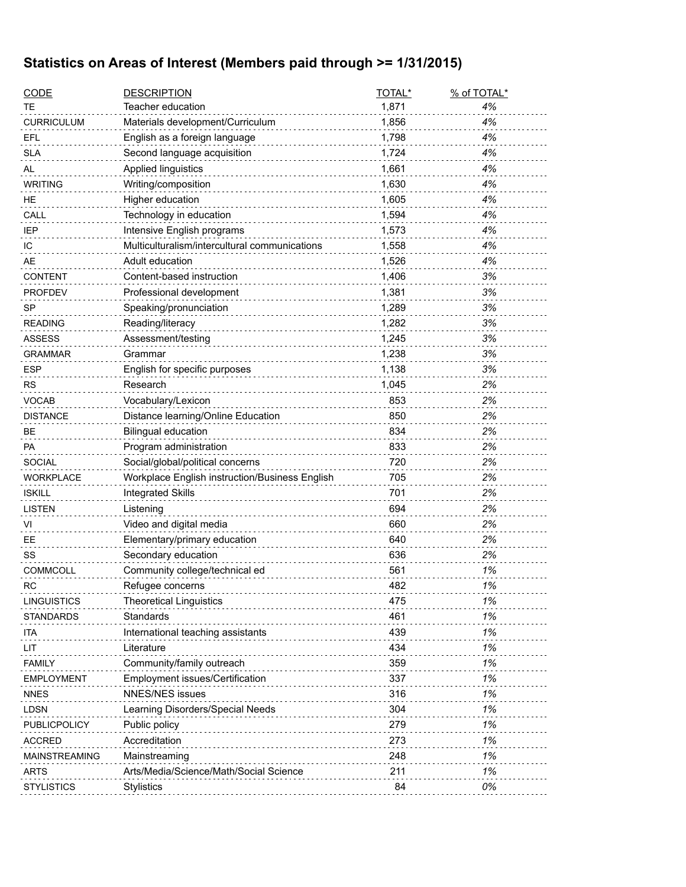## **Statistics on Areas of Interest (Members paid through >= 1/31/2015)**

| <b>CODE</b>          | <b>DESCRIPTION</b>                             | TOTAL* | % of TOTAL* |
|----------------------|------------------------------------------------|--------|-------------|
| ТE                   | Teacher education                              | 1,871  | 4%          |
| <b>CURRICULUM</b>    | Materials development/Curriculum               | 1,856  | 4%          |
| EFL                  | English as a foreign language                  | 1,798  | 4%          |
| <b>SLA</b>           | Second language acquisition                    | 1,724  | 4%          |
| AL                   | Applied linguistics                            | 1,661  | 4%          |
| <b>WRITING</b>       | Writing/composition                            | 1,630  | 4%          |
| HE.                  | Higher education                               | 1,605  | 4%          |
| CALL                 | Technology in education                        | 1,594  | 4%          |
| <b>IEP</b>           | Intensive English programs                     | 1,573  | 4%          |
| IC                   | Multiculturalism/intercultural communications  | 1,558  | 4%          |
| AE                   | Adult education                                | 1,526  | 4%          |
| <b>CONTENT</b>       | Content-based instruction                      | 1,406  | 3%          |
| <b>PROFDEV</b>       | Professional development                       | 1,381  | 3%          |
| <b>SP</b>            | Speaking/pronunciation                         | 1,289  | 3%          |
| <b>READING</b>       | Reading/literacy                               | 1,282  | 3%          |
| <b>ASSESS</b>        | Assessment/testing                             | 1,245  | 3%          |
| <b>GRAMMAR</b>       | Grammar                                        | 1,238  | 3%          |
| <b>ESP</b>           | English for specific purposes                  | 1,138  | 3%          |
| <b>RS</b>            | Research                                       | 1,045  | 2%          |
| <b>VOCAB</b>         | Vocabulary/Lexicon                             | 853    | 2%          |
| <b>DISTANCE</b>      | Distance learning/Online Education             | 850    | 2%          |
| BE                   | <b>Bilingual education</b>                     | 834    | 2%          |
| PA                   | Program administration                         | 833    | 2%          |
| <b>SOCIAL</b>        | Social/global/political concerns               | 720    | 2%          |
| <b>WORKPLACE</b>     | Workplace English instruction/Business English | 705    | 2%          |
| <b>ISKILL</b>        | <b>Integrated Skills</b>                       | 701    | 2%          |
| <b>LISTEN</b>        | Listening                                      | 694    | 2%          |
| VI                   | Video and digital media                        | 660    | 2%          |
| EE                   | Elementary/primary education                   | 640    | 2%          |
| SS                   | Secondary education                            | 636    | 2%          |
| <b>COMMCOLL</b>      | Community college/technical ed                 | 561    | 1%          |
| <b>RC</b>            | Refugee concerns                               | 482    | 1%          |
| <b>LINGUISTICS</b>   | <b>Theoretical Linguistics</b>                 | 475    | 1%          |
| <b>STANDARDS</b>     | Standards                                      | 461    | 1%          |
| ita                  | International teaching assistants              | 439    | 1%          |
| LIT                  | Literature                                     | 434    | 1%          |
| <b>FAMILY</b>        | Community/family outreach                      | 359    | 1%          |
| <b>EMPLOYMENT</b>    | Employment issues/Certification                | 337    | 1%          |
| <b>NNES</b>          | <b>NNES/NES issues</b>                         | 316    | 1%          |
| <b>LDSN</b>          | Learning Disorders/Special Needs               | 304    | 1%          |
| PUBLICPOLICY         | Public policy                                  | 279    | 1%          |
| <b>ACCRED</b>        | Accreditation                                  | 273    | 1%          |
| <b>MAINSTREAMING</b> | Mainstreaming                                  | 248    | 1%          |
| <b>ARTS</b>          | Arts/Media/Science/Math/Social Science         | 211    | 1%          |
| <b>STYLISTICS</b>    | Stylistics                                     | 84     | 0%          |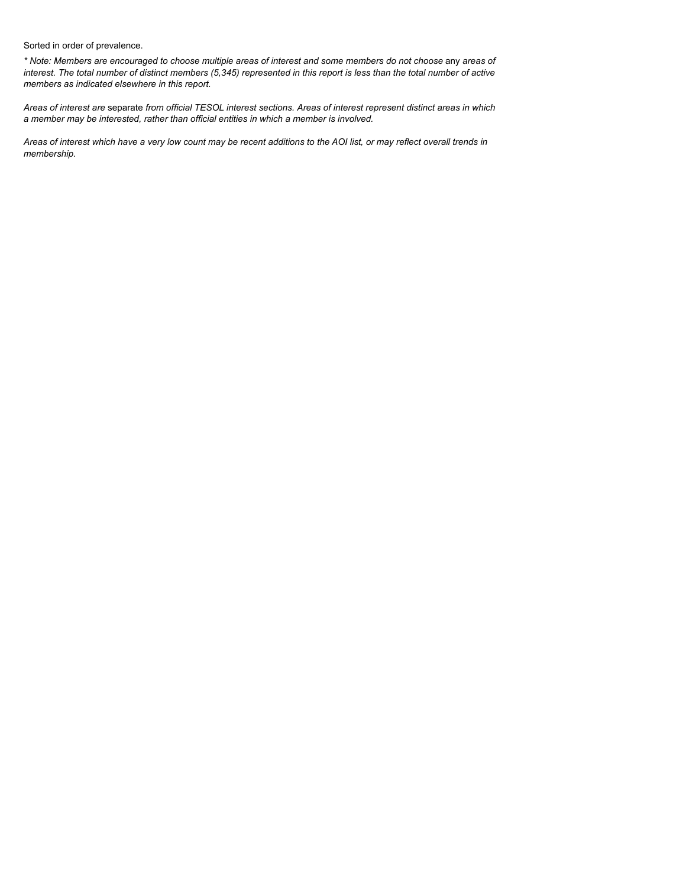Sorted in order of prevalence.

*\* Note: Members are encouraged to choose multiple areas of interest and some members do not choose* any *areas of interest. The total number of distinct members (5,345) represented in this report is less than the total number of active members as indicated elsewhere in this report.*

*Areas of interest are* separate *from official TESOL interest sections. Areas of interest represent distinct areas in which a member may be interested, rather than official entities in which a member is involved.*

*Areas of interest which have a very low count may be recent additions to the AOI list, or may reflect overall trends in membership.*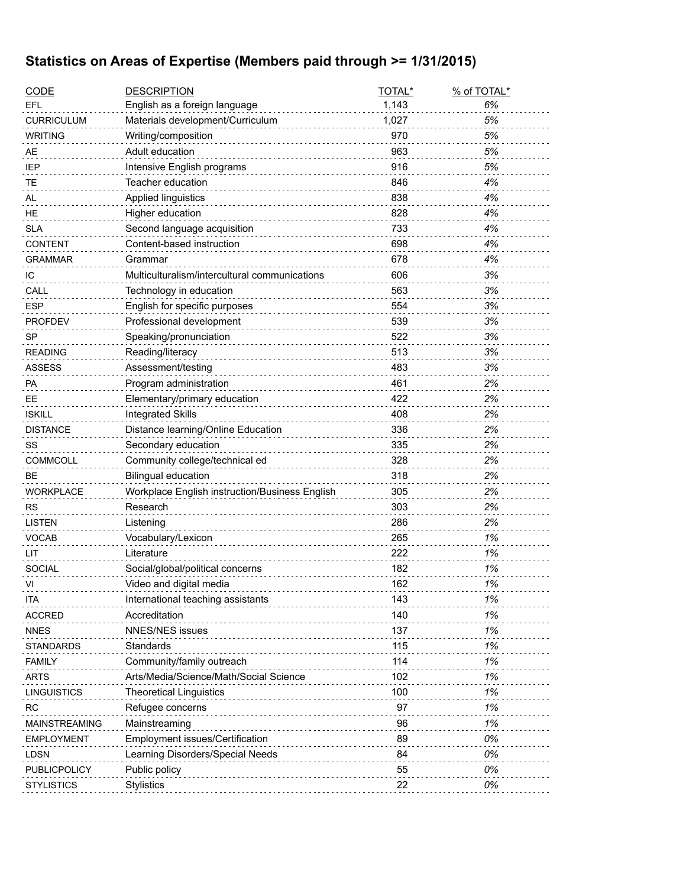## **Statistics on Areas of Expertise (Members paid through >= 1/31/2015)**

| <b>CODE</b>          | <b>DESCRIPTION</b>                             | TOTAL* | % of TOTAL* |
|----------------------|------------------------------------------------|--------|-------------|
| EFL                  | English as a foreign language                  | 1,143  | 6%          |
| <b>CURRICULUM</b>    | Materials development/Curriculum               | 1,027  | 5%          |
| <b>WRITING</b>       | Writing/composition                            | 970    | 5%          |
| AE                   | Adult education                                | 963    | 5%          |
| IEP                  | Intensive English programs                     | 916    | 5%          |
| TЕ                   | Teacher education                              | 846    | 4%          |
| AL                   | Applied linguistics                            | 838    | 4%          |
| HE                   | Higher education                               | 828    | 4%          |
| <b>SLA</b>           | Second language acquisition                    | 733    | 4%          |
| <b>CONTENT</b>       | Content-based instruction                      | 698    | 4%          |
| GRAMMAR              | Grammar                                        | 678    | 4%          |
| ТC                   | Multiculturalism/intercultural communications  | 606    | 3%          |
| CALL                 | Technology in education                        | 563    | 3%          |
| <b>ESP</b>           | English for specific purposes                  | 554    | 3%          |
| <b>PROFDEV</b>       | Professional development                       | 539    | 3%          |
| <b>SP</b>            | Speaking/pronunciation                         | 522    | 3%          |
| <b>READING</b>       | Reading/literacy                               | 513    | 3%          |
| ASSESS               | Assessment/testing                             | 483    | 3%          |
| PA                   | Program administration                         | 461    | 2%          |
| EЕ                   | Elementary/primary education                   | 422    | 2%          |
| <b>ISKILL</b>        | <b>Integrated Skills</b>                       | 408    | 2%          |
| <b>DISTANCE</b>      | Distance learning/Online Education             | 336    | 2%          |
| SS                   | Secondary education                            | 335    | 2%          |
| <b>COMMCOLL</b>      | Community college/technical ed                 | 328    | 2%          |
| BЕ                   | <b>Bilingual education</b>                     | 318    | 2%          |
| <b>WORKPLACE</b>     | Workplace English instruction/Business English | 305    | 2%          |
| <b>RS</b>            | Research                                       | 303    | 2%          |
| <b>LISTEN</b>        | Listening                                      | 286    | 2%          |
| <b>VOCAB</b>         | Vocabulary/Lexicon                             | 265    | 1%          |
| LIT                  | Literature                                     | 222    | 1%          |
| <b>SOCIAL</b>        | Social/global/political concerns               | 182    | 1%          |
| VI                   | Video and digital media                        | 162    | 1%          |
| ITA                  | International teaching assistants              | 143    | 1%          |
| <b>ACCRED</b>        | Accreditation                                  | 140    | 1%          |
| <b>NNES</b>          | <b>NNES/NES issues</b>                         | 137    | 1%          |
| <b>STANDARDS</b>     | Standards                                      | 115    | 1%          |
| <b>FAMILY</b>        | Community/family outreach                      | 114    | 1%          |
| <b>ARTS</b>          | Arts/Media/Science/Math/Social Science         | 102    | 1%          |
| <b>LINGUISTICS</b>   | <b>Theoretical Linguistics</b>                 | 100    | 1%          |
| <b>RC</b>            | Refugee concerns                               | 97     | 1%          |
| <b>MAINSTREAMING</b> | Mainstreaming                                  | 96     | 1%          |
| <b>EMPLOYMENT</b>    | <b>Employment issues/Certification</b>         | 89     | 0%          |
| <b>LDSN</b>          | Learning Disorders/Special Needs               | 84     | 0%          |
| PUBLICPOLICY         | Public policy                                  | 55     | 0%          |
| <b>STYLISTICS</b>    | <b>Stylistics</b>                              | 22     | 0%          |